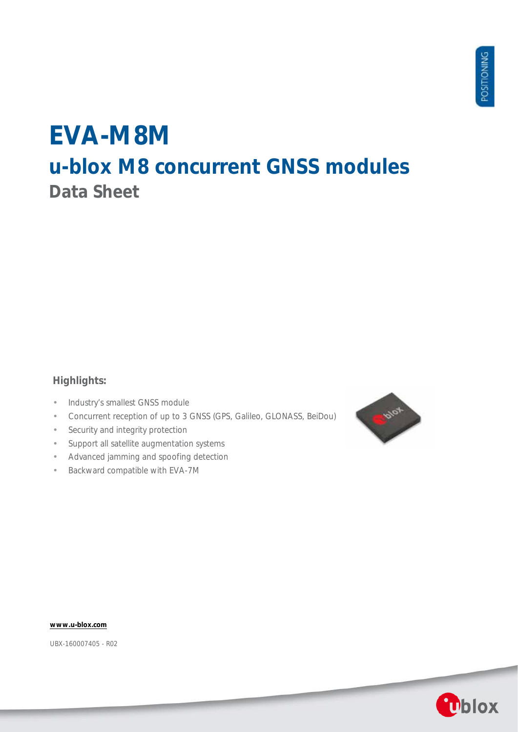# **EVA-M8M u-blox M8 concurrent GNSS modules Data Sheet**

## **Highlights:**

- Industry's smallest GNSS module l,
- Concurrent reception of up to 3 GNSS (GPS, Galileo, GLONASS, BeiDou) J.
- Security and integrity protection ł,
- Support all satellite augmentation systems t,
- Advanced jamming and spoofing detection
- Backward compatible with EVA-7M



**[www.u-blox.com](http://www.u-blox.com/)**

UBX-160007405 - R02

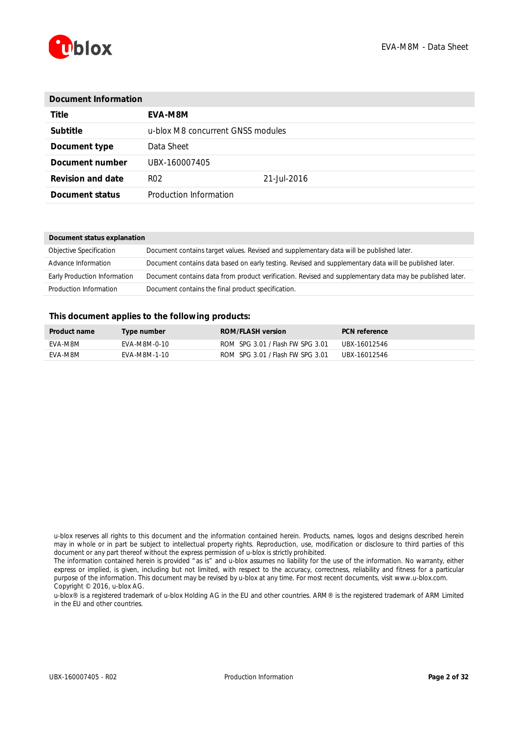

| Document Information     |                                   |             |  |  |  |
|--------------------------|-----------------------------------|-------------|--|--|--|
| <b>Title</b>             | EVA-M8M                           |             |  |  |  |
| Subtitle                 | u-blox M8 concurrent GNSS modules |             |  |  |  |
| Document type            | Data Sheet                        |             |  |  |  |
| Document number          | UBX-160007405                     |             |  |  |  |
| <b>Revision and date</b> | R <sub>02</sub>                   | 21-Jul-2016 |  |  |  |
| Document status          | Production Information            |             |  |  |  |

| Document status explanation  |                                                                                                          |  |  |  |  |
|------------------------------|----------------------------------------------------------------------------------------------------------|--|--|--|--|
| Objective Specification      | Document contains target values. Revised and supplementary data will be published later.                 |  |  |  |  |
| Advance Information          | Document contains data based on early testing. Revised and supplementary data will be published later.   |  |  |  |  |
| Early Production Information | Document contains data from product verification. Revised and supplementary data may be published later. |  |  |  |  |
| Production Information       | Document contains the final product specification.                                                       |  |  |  |  |

#### **This document applies to the following products:**

| <b>Product name</b> | Type number  | <b>ROM/FLASH version</b>         | <b>PCN</b> reference |
|---------------------|--------------|----------------------------------|----------------------|
| FVA-M8M             | FVA-M8M-0-10 | ROM SPG 3.01 / Flash FW SPG 3.01 | UBX-16012546         |
| FVA-M8M             | FVA-M8M-1-10 | ROM SPG 3.01 / Flash FW SPG 3.01 | UBX-16012546         |

u-blox reserves all rights to this document and the information contained herein. Products, names, logos and designs described herein may in whole or in part be subject to intellectual property rights. Reproduction, use, modification or disclosure to third parties of this document or any part thereof without the express permission of u-blox is strictly prohibited.

The information contained herein is provided "as is" and u-blox assumes no liability for the use of the information. No warranty, either express or implied, is given, including but not limited, with respect to the accuracy, correctness, reliability and fitness for a particular purpose of the information. This document may be revised by u-blox at any time. For most recent documents, visit www.u-blox.com. Copyright © 2016, u-blox AG.

u-blox® is a registered trademark of u-blox Holding AG in the EU and other countries. ARM® is the registered trademark of ARM Limited in the EU and other countries.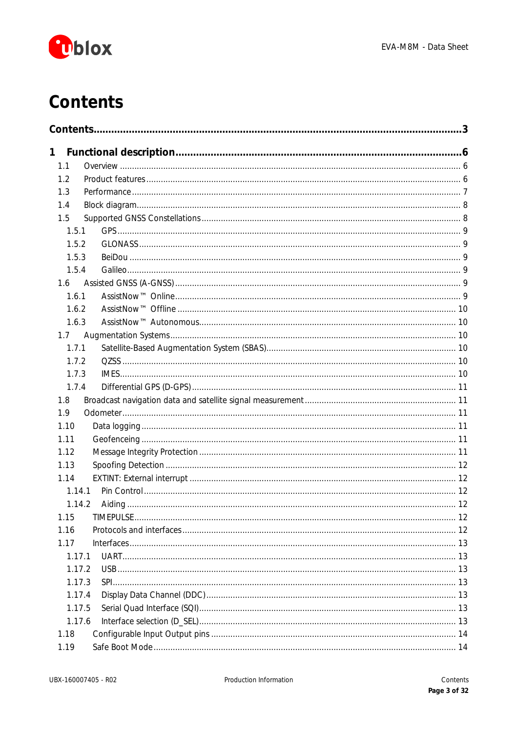

# <span id="page-2-0"></span>**Contents**

| 1     |        |  |
|-------|--------|--|
| 1.1   |        |  |
| 1.2   |        |  |
| 1.3   |        |  |
| 1.4   |        |  |
| 1.5   |        |  |
| 1.5.1 |        |  |
| 1.5.2 |        |  |
| 1.5.3 |        |  |
| 1.5.4 |        |  |
| 1.6   |        |  |
| 1.6.1 |        |  |
| 1.6.2 |        |  |
| 1.6.3 |        |  |
| 1.7   |        |  |
| 1.7.1 |        |  |
| 1.7.2 |        |  |
| 1.7.3 |        |  |
| 1.7.4 |        |  |
| 1.8   |        |  |
| 1.9   |        |  |
| 1.10  |        |  |
| 1.11  |        |  |
| 1.12  |        |  |
| 1.13  |        |  |
| 1.14  |        |  |
|       | 1.14.1 |  |
|       | 1.14.2 |  |
| 1.15  |        |  |
| 1.16  |        |  |
| 1.17  |        |  |
|       | 1.17.1 |  |
|       | 1.17.2 |  |
|       | 1.17.3 |  |
|       | 1.17.4 |  |
|       | 1.17.5 |  |
|       | 1.17.6 |  |
| 1.18  |        |  |
| 1.19  |        |  |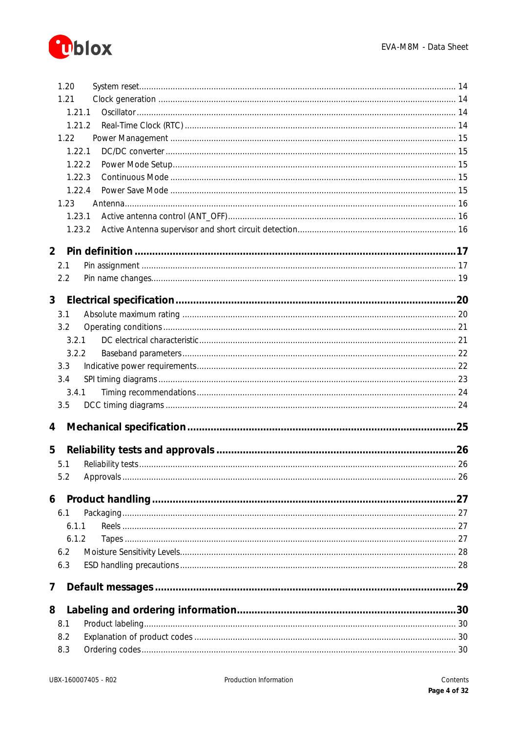

|                | 1.20       |  |
|----------------|------------|--|
|                | 1.21       |  |
|                | 1.21.1     |  |
|                | 1.21.2     |  |
|                | 1.22       |  |
|                | 1.22.1     |  |
|                | 1.22.2     |  |
|                | 1.22.3     |  |
|                | 1.22.4     |  |
|                | 1.23       |  |
|                | 1.23.1     |  |
|                | 1.23.2     |  |
| $\overline{2}$ |            |  |
|                | 2.1        |  |
|                | 2.2        |  |
|                |            |  |
| 3 <sup>7</sup> |            |  |
|                | 3.1        |  |
|                | 3.2        |  |
|                | 3.2.1      |  |
|                | 3.2.2      |  |
|                | 3.3        |  |
|                | 3.4        |  |
|                | 3.4.1      |  |
|                | 3.5        |  |
| 4              |            |  |
|                |            |  |
| 5              |            |  |
|                | 5.1        |  |
|                | 5.2        |  |
| 6              |            |  |
|                | 6.1        |  |
|                | 6.1.1      |  |
|                | 6.1.2      |  |
|                | 6.2        |  |
|                | 6.3        |  |
|                |            |  |
| 7              |            |  |
|                |            |  |
| 8              |            |  |
|                | 8.1        |  |
|                | 8.2<br>8.3 |  |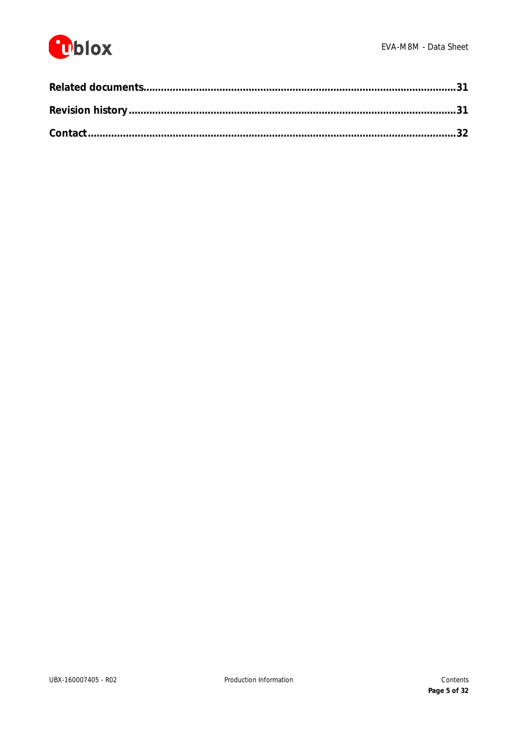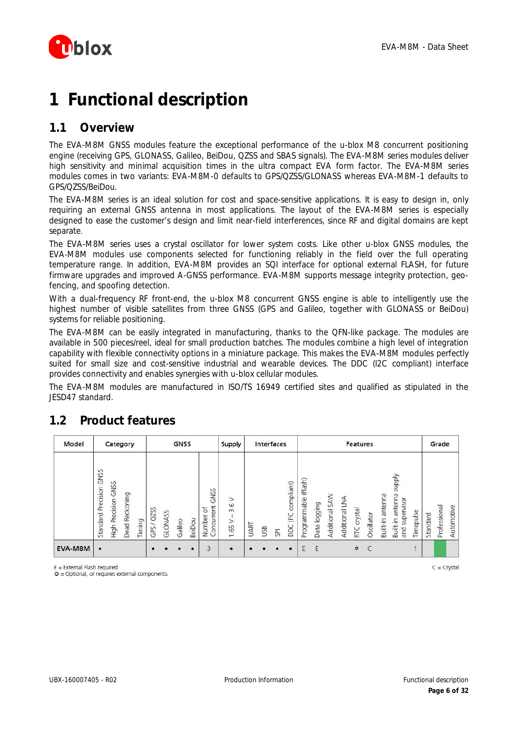

# <span id="page-5-0"></span>**1 Functional description**

## <span id="page-5-1"></span>**1.1 Overview**

The EVA-M8M GNSS modules feature the exceptional performance of the u-blox M8 concurrent positioning engine (receiving GPS, GLONASS, Galileo, BeiDou, QZSS and SBAS signals). The EVA-M8M series modules deliver high sensitivity and minimal acquisition times in the ultra compact EVA form factor. The EVA-M8M series modules comes in two variants: EVA-M8M-0 defaults to GPS/QZSS/GLONASS whereas EVA-M8M-1 defaults to GPS/QZSS/BeiDou.

The EVA-M8M series is an ideal solution for cost and space-sensitive applications. It is easy to design in, only requiring an external GNSS antenna in most applications. The layout of the EVA-M8M series is especially designed to ease the customer's design and limit near-field interferences, since RF and digital domains are kept separate.

The EVA-M8M series uses a crystal oscillator for lower system costs. Like other u-blox GNSS modules, the EVA-M8M modules use components selected for functioning reliably in the field over the full operating temperature range. In addition, EVA-M8M provides an SQI interface for optional external FLASH, for future firmware upgrades and improved A-GNSS performance. EVA-M8M supports message integrity protection, geofencing, and spoofing detection.

With a dual-frequency RF front-end, the u-blox M8 concurrent GNSS engine is able to intelligently use the highest number of visible satellites from three GNSS (GPS and Galileo, together with GLONASS or BeiDou) systems for reliable positioning.

The EVA-M8M can be easily integrated in manufacturing, thanks to the QFN-like package. The modules are available in 500 pieces/reel, ideal for small production batches. The modules combine a high level of integration capability with flexible connectivity options in a miniature package. This makes the EVA-M8M modules perfectly suited for small size and cost-sensitive industrial and wearable devices. The DDC (I2C compliant) interface provides connectivity and enables synergies with u-blox cellular modules.

The EVA-M8M modules are manufactured in ISO/TS 16949 certified sites and qualified as stipulated in the JESD47 standard.

| <b>Model</b> |                               |                     | Category                 |        |              |         | <b>GNSS</b> |           |                                                            | <b>Supply</b>                     |             | Interfaces |   |                          |                      |              |                |                | <b>Features</b> |            |                     |                                                          |           |          | Grade        |            |
|--------------|-------------------------------|---------------------|--------------------------|--------|--------------|---------|-------------|-----------|------------------------------------------------------------|-----------------------------------|-------------|------------|---|--------------------------|----------------------|--------------|----------------|----------------|-----------------|------------|---------------------|----------------------------------------------------------|-----------|----------|--------------|------------|
|              | GNSS<br>Precision<br>Standard | High Precision GNSS | Reckoning<br><b>Dead</b> | Timing | QZSS<br>GPS. | GLONASS | Galileo     | BeiDou    | <b>GNSS</b><br>oncurrent<br>$\rm ^{+}$<br>Number<br>$\cup$ | $\geq$<br>3.6<br>$\sqrt{65}$<br>- | <b>UART</b> | USB        | 허 | compliant)<br>(PC<br>pcc | Programmable (Flash) | Data logging | Additional SAW | Additional LNA | RTC crystal     | Oscillator | antenna<br>Built-in | <b>Addns</b><br>antenna<br>supervisor<br>Built-in<br>and | Timepulse | Standard | Professional | Automotive |
| EVA-M8M      | $\bullet$                     |                     |                          |        | ٠            |         |             | $\bullet$ | 3                                                          | ٠                                 |             |            |   |                          | E                    | E            |                |                | $\circ$         | C          |                     |                                                          |           |          |              |            |

## <span id="page-5-2"></span>**1.2 Product features**

 $E =$  External Flash required

 $O =$  Optional, or requires external components

 $C =$  Crystal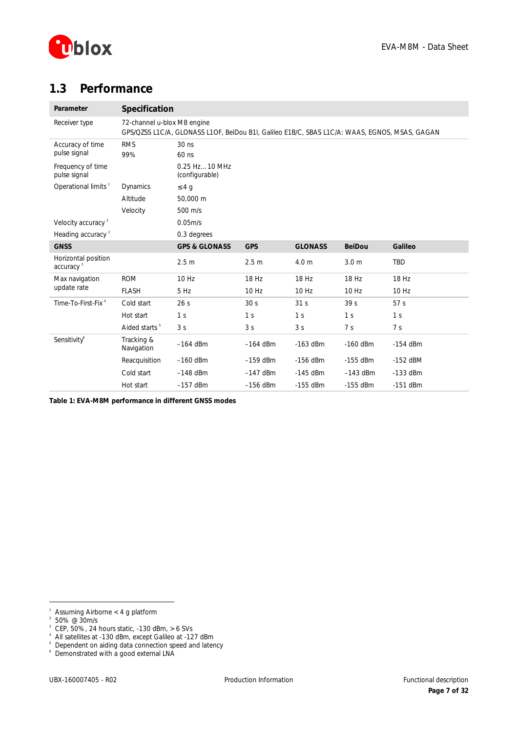

## <span id="page-6-0"></span>**1.3 Performance**

| Parameter                                    | Specification               |                                                                                               |                  |                 |                  |                 |
|----------------------------------------------|-----------------------------|-----------------------------------------------------------------------------------------------|------------------|-----------------|------------------|-----------------|
| Receiver type                                | 72-channel u-blox M8 engine | GPS/QZSS L1C/A, GLONASS L1OF, BeiDou B1I, Galileo E1B/C, SBAS L1C/A: WAAS, EGNOS, MSAS, GAGAN |                  |                 |                  |                 |
| Accuracy of time<br>pulse signal             | <b>RMS</b><br>99%           | $30$ ns<br>60 ns                                                                              |                  |                 |                  |                 |
| Frequency of time<br>pulse signal            |                             | 0.25 Hz10 MHz<br>(configurable)                                                               |                  |                 |                  |                 |
| Operational limits <sup>1</sup>              | Dynamics                    | £4q                                                                                           |                  |                 |                  |                 |
|                                              | Altitude                    | 50,000 m                                                                                      |                  |                 |                  |                 |
|                                              | Velocity                    | 500 m/s                                                                                       |                  |                 |                  |                 |
| Velocity accuracy <sup>2</sup>               |                             | 0.05m/s                                                                                       |                  |                 |                  |                 |
| Heading accuracy <sup>2</sup>                |                             | 0.3 degrees                                                                                   |                  |                 |                  |                 |
| <b>GNSS</b>                                  |                             | <b>GPS &amp; GLONASS</b>                                                                      | <b>GPS</b>       | <b>GLONASS</b>  | <b>BeiDou</b>    | Galileo         |
| Horizontal position<br>accuracy <sup>3</sup> |                             | 2.5 <sub>m</sub>                                                                              | 2.5 <sub>m</sub> | 4.0 m           | 3.0 <sub>m</sub> | TBD             |
| Max navigation                               | <b>ROM</b>                  | 10Hz                                                                                          | 18 Hz            | 18 Hz           | 18 Hz            | 18 Hz           |
| update rate                                  | <b>FLASH</b>                | 5 Hz                                                                                          | 10 Hz            | 10 Hz           | 10 Hz            | 10 Hz           |
| Time-To-First-Fix <sup>4</sup>               | Cold start                  | 26 <sub>s</sub>                                                                               | 30 <sub>s</sub>  | 31 <sub>s</sub> | 39 <sub>s</sub>  | 57 <sub>s</sub> |
|                                              | Hot start                   | 1 <sup>s</sup>                                                                                | 1 <sub>s</sub>   | 1 <sub>s</sub>  | 1 <sup>s</sup>   | 1 <sub>s</sub>  |
|                                              | Aided starts <sup>5</sup>   | 3 <sub>s</sub>                                                                                | 3 <sub>s</sub>   | 3 <sub>s</sub>  | 7 <sub>s</sub>   | 7 <sub>s</sub>  |
| Sensitivity®                                 | Tracking &<br>Navigation    | $-164$ dBm                                                                                    | $-164$ dBm       | $-163$ dBm      | $-160$ dBm       | $-154$ dBm      |
|                                              | Reacquisition               | $-160$ dBm                                                                                    | $-159$ dBm       | $-156$ dBm      | $-155$ dBm       | $-152$ dBM      |
|                                              | Cold start                  | $-148$ dBm                                                                                    | $-147$ dBm       | $-145$ dBm      | $-143$ dBm       | $-133$ dBm      |
|                                              | Hot start                   | $-157$ dBm                                                                                    | $-156$ dBm       | $-155$ dBm      | $-155$ dBm       | $-151$ dBm      |

**Table 1: EVA-M8M performance in different GNSS modes** 

 $\overline{a}$ 

3 CEP, 50%, 24 hours static, -130 dBm, > 6 SVs

<sup>1</sup> Assuming Airborne < 4 g platform

<sup>2</sup> 50% @ 30m/s

<sup>&</sup>lt;sup>4</sup> All satellites at -130 dBm, except Galileo at -127 dBm<br><sup>5</sup> Dependent on aiding data connection speed and latency

<sup>6</sup> Demonstrated with a good external LNA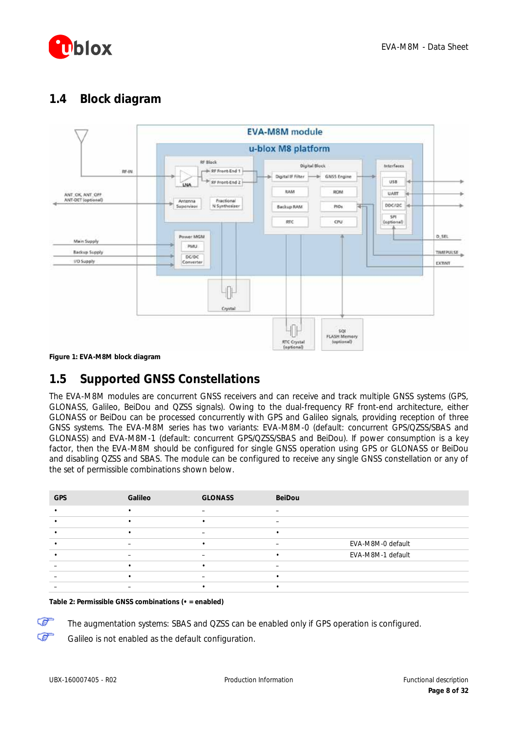

## <span id="page-7-0"></span>**1.4 Block diagram**



**Figure 1: EVA-M8M block diagram**

## <span id="page-7-1"></span>**1.5 Supported GNSS Constellations**

The EVA-M8M modules are concurrent GNSS receivers and can receive and track multiple GNSS systems (GPS, GLONASS, Galileo, BeiDou and QZSS signals). Owing to the dual-frequency RF front-end architecture, either GLONASS or BeiDou can be processed concurrently with GPS and Galileo signals, providing reception of three GNSS systems. The EVA-M8M series has two variants: EVA-M8M-0 (default: concurrent GPS/QZSS/SBAS and GLONASS) and EVA-M8M-1 (default: concurrent GPS/QZSS/SBAS and BeiDou). If power consumption is a key factor, then the EVA-M8M should be configured for single GNSS operation using GPS or GLONASS or BeiDou and disabling QZSS and SBAS. The module can be configured to receive any single GNSS constellation or any of the set of permissible combinations shown below.

| <b>GPS</b> | Galileo                  | <b>GLONASS</b> | BeiDou |                   |
|------------|--------------------------|----------------|--------|-------------------|
|            |                          | -              |        |                   |
|            |                          |                |        |                   |
|            |                          |                |        |                   |
|            | $\overline{\phantom{0}}$ |                |        | EVA-M8M-0 default |
|            | $\overline{\phantom{0}}$ |                |        | EVA-M8M-1 default |
|            |                          |                |        |                   |
|            |                          |                |        |                   |
|            |                          |                |        |                   |

#### **Table 2: Permissible GNSS combinations (• = enabled)**

The augmentation systems: SBAS and QZSS can be enabled only if GPS operation is configured.

Galileo is not enabled as the default configuration.

☞ Œ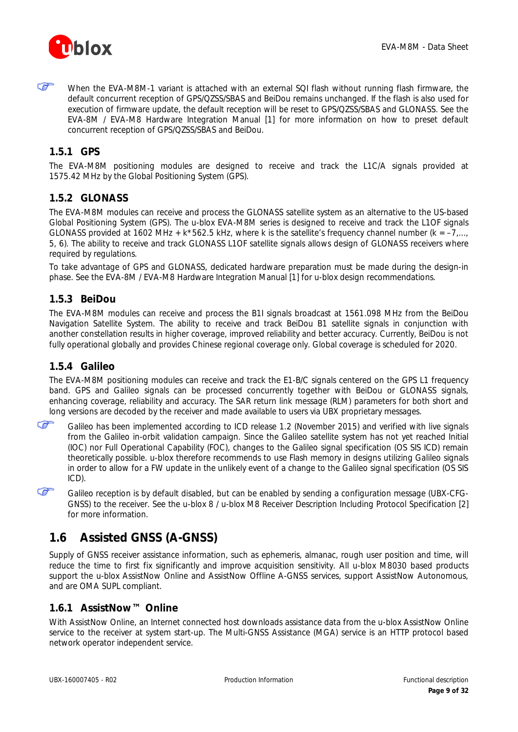

ক্তে When the EVA-M8M-1 variant is attached with an external SQI flash without running flash firmware, the default concurrent reception of GPS/QZSS/SBAS and BeiDou remains unchanged. If the flash is also used for execution of firmware update, the default reception will be reset to GPS/QZSS/SBAS and GLONASS. See the *EVA-8M / EVA-M8 Hardware Integration Manual* [\[1\]](#page-30-2) for more information on how to preset default concurrent reception of GPS/QZSS/SBAS and BeiDou.

### <span id="page-8-0"></span>**1.5.1 GPS**

The EVA-M8M positioning modules are designed to receive and track the L1C/A signals provided at 1575.42 MHz by the Global Positioning System (GPS).

#### <span id="page-8-1"></span>**1.5.2 GLONASS**

The EVA-M8M modules can receive and process the GLONASS satellite system as an alternative to the US-based Global Positioning System (GPS). The u-blox EVA-M8M series is designed to receive and track the L1OF signals GLONASS provided at 1602 MHz + k\*562.5 kHz, where k is the satellite's frequency channel number ( $k = -7$ ,..., 5, 6). The ability to receive and track GLONASS L1OF satellite signals allows design of GLONASS receivers where required by regulations.

To take advantage of GPS and GLONASS, dedicated hardware preparation must be made during the design-in phase. See the *EVA-8M / EVA-M8 Hardware Integration Manual* [\[1\]](#page-30-2) for u-blox design recommendations.

#### <span id="page-8-2"></span>**1.5.3 BeiDou**

The EVA-M8M modules can receive and process the B1I signals broadcast at 1561.098 MHz from the BeiDou Navigation Satellite System. The ability to receive and track BeiDou B1 satellite signals in conjunction with another constellation results in higher coverage, improved reliability and better accuracy. Currently, BeiDou is not fully operational globally and provides Chinese regional coverage only. Global coverage is scheduled for 2020.

#### <span id="page-8-3"></span>**1.5.4 Galileo**

Œ

The EVA-M8M positioning modules can receive and track the E1-B/C signals centered on the GPS L1 frequency band. GPS and Galileo signals can be processed concurrently together with BeiDou or GLONASS signals, enhancing coverage, reliability and accuracy. The SAR return link message (RLM) parameters for both short and long versions are decoded by the receiver and made available to users via UBX proprietary messages.

Œ Galileo has been implemented according to ICD release 1.2 (November 2015) and verified with live signals from the Galileo in-orbit validation campaign. Since the Galileo satellite system has not yet reached Initial (IOC) nor Full Operational Capability (FOC), changes to the Galileo signal specification (OS SIS ICD) remain theoretically possible. u-blox therefore recommends to use Flash memory in designs utilizing Galileo signals in order to allow for a FW update in the unlikely event of a change to the Galileo signal specification (OS SIS ICD).

Galileo reception is by default disabled, but can be enabled by sending a configuration message (UBX-CFG-GNSS) to the receiver. See the *u-blox 8 / u-blox M8 Receiver Description Including Protocol Specification* [2] for more information.

## <span id="page-8-4"></span>**1.6 Assisted GNSS (A-GNSS)**

Supply of GNSS receiver assistance information, such as ephemeris, almanac, rough user position and time, will reduce the time to first fix significantly and improve acquisition sensitivity. All u-blox M8030 based products support the u-blox AssistNow Online and AssistNow Offline A-GNSS services, support AssistNow Autonomous, and are OMA SUPL compliant.

### <span id="page-8-5"></span>**1.6.1 AssistNow™ Online**

With AssistNow Online, an Internet connected host downloads assistance data from the u-blox AssistNow Online service to the receiver at system start-up. The Multi-GNSS Assistance (MGA) service is an HTTP protocol based network operator independent service.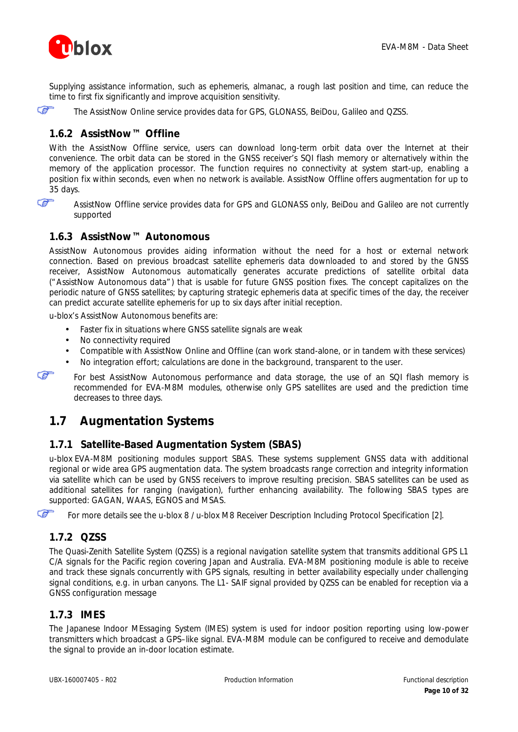

Supplying assistance information, such as ephemeris, almanac, a rough last position and time, can reduce the time to first fix significantly and improve acquisition sensitivity.

☞

The AssistNow Online service provides data for GPS, GLONASS, BeiDou, Galileo and QZSS.

### <span id="page-9-0"></span>**1.6.2 AssistNow™ Offline**

With the AssistNow Offline service, users can download long-term orbit data over the Internet at their convenience. The orbit data can be stored in the GNSS receiver's SQI flash memory or alternatively within the memory of the application processor. The function requires no connectivity at system start-up, enabling a position fix within seconds, even when no network is available. AssistNow Offline offers augmentation for up to 35 days.

Œ

AssistNow Offline service provides data for GPS and GLONASS only, BeiDou and Galileo are not currently supported

### <span id="page-9-1"></span>**1.6.3 AssistNow™ Autonomous**

AssistNow Autonomous provides aiding information without the need for a host or external network connection. Based on previous broadcast satellite ephemeris data downloaded to and stored by the GNSS receiver, AssistNow Autonomous automatically generates accurate predictions of satellite orbital data ("AssistNow Autonomous data") that is usable for future GNSS position fixes. The concept capitalizes on the periodic nature of GNSS satellites; by capturing strategic ephemeris data at specific times of the day, the receiver can predict accurate satellite ephemeris for up to six days after initial reception.

u-blox's AssistNow Autonomous benefits are:

- Faster fix in situations where GNSS satellite signals are weak
- No connectivity required
- Compatible with AssistNow Online and Offline (can work stand-alone, or in tandem with these services)
- No integration effort; calculations are done in the background, transparent to the user.

Œ

Œ

For best AssistNow Autonomous performance and data storage, the use of an SQI flash memory is recommended for EVA-M8M modules, otherwise only GPS satellites are used and the prediction time decreases to three days.

## <span id="page-9-2"></span>**1.7 Augmentation Systems**

### <span id="page-9-3"></span>**1.7.1 Satellite-Based Augmentation System (SBAS)**

u-blox EVA-M8M positioning modules support SBAS. These systems supplement GNSS data with additional regional or wide area GPS augmentation data. The system broadcasts range correction and integrity information via satellite which can be used by GNSS receivers to improve resulting precision. SBAS satellites can be used as additional satellites for ranging (navigation), further enhancing availability. The following SBAS types are supported: GAGAN, WAAS, EGNOS and MSAS.

For more details see the *u-blox 8 / u-blox M8 Receiver Description Including Protocol Specification* [2].

### <span id="page-9-4"></span>**1.7.2 QZSS**

The Quasi-Zenith Satellite System (QZSS) is a regional navigation satellite system that transmits additional GPS L1 C/A signals for the Pacific region covering Japan and Australia. EVA-M8M positioning module is able to receive and track these signals concurrently with GPS signals, resulting in better availability especially under challenging signal conditions, e.g. in urban canyons. The L1- SAIF signal provided by QZSS can be enabled for reception via a GNSS configuration message

### <span id="page-9-5"></span>**1.7.3 IMES**

The Japanese Indoor MEssaging System (IMES) system is used for indoor position reporting using low-power transmitters which broadcast a GPS–like signal. EVA-M8M module can be configured to receive and demodulate the signal to provide an in-door location estimate.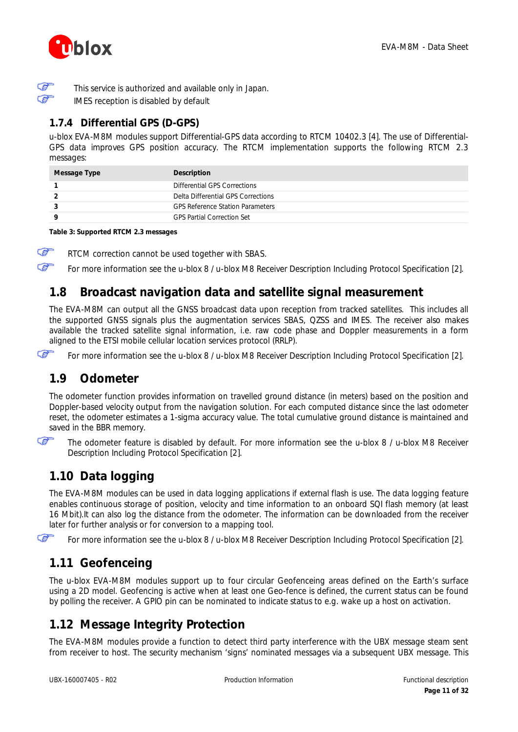

F ক্লে

This service is authorized and available only in Japan.

IMES reception is disabled by default

### <span id="page-10-0"></span>**1.7.4 Differential GPS (D-GPS)**

u-blox EVA-M8M modules support Differential-GPS data according to RTCM 10402.3 [\[4\].](#page-30-3) The use of Differential-GPS data improves GPS position accuracy. The RTCM implementation supports the following RTCM 2.3 messages:

| Message Type | Description                             |
|--------------|-----------------------------------------|
|              | Differential GPS Corrections            |
|              | Delta Differential GPS Corrections      |
|              | <b>GPS Reference Station Parameters</b> |
|              | <b>GPS Partial Correction Set</b>       |

#### **Table 3: Supported RTCM 2.3 messages**

G RTCM correction cannot be used together with SBAS.

For more information see the *u-blox 8 / u-blox M8 Receiver Description Including Protocol Specification* [\[2\].](#page-30-4)

## <span id="page-10-1"></span>**1.8 Broadcast navigation data and satellite signal measurement**

The EVA-M8M can output all the GNSS broadcast data upon reception from tracked satellites. This includes all the supported GNSS signals plus the augmentation services SBAS, QZSS and IMES. The receiver also makes available the tracked satellite signal information, i.e. raw code phase and Doppler measurements in a form aligned to the ETSI mobile cellular location services protocol (RRLP).

Œ

Œ

For more information see the *u-blox 8 / u-blox M8 Receiver Description Including Protocol Specification* [\[2\].](#page-30-4)

## <span id="page-10-2"></span>**1.9 Odometer**

The odometer function provides information on travelled ground distance (in meters) based on the position and Doppler-based velocity output from the navigation solution. For each computed distance since the last odometer reset, the odometer estimates a 1-sigma accuracy value. The total cumulative ground distance is maintained and saved in the BBR memory.

Œ

The odometer feature is disabled by default. For more information see the *u-blox 8 / u-blox M8 Receiver Description Including Protocol Specification* [\[2\].](#page-30-4)

## <span id="page-10-3"></span>**1.10 Data logging**

The EVA-M8M modules can be used in data logging applications if external flash is use. The data logging feature enables continuous storage of position, velocity and time information to an onboard SQI flash memory (at least 16 Mbit).It can also log the distance from the odometer. The information can be downloaded from the receiver later for further analysis or for conversion to a mapping tool.

Œ

For more information see the *u-blox 8 / u-blox M8 Receiver Description Including Protocol Specification* [\[2\].](#page-30-4)

## <span id="page-10-4"></span>**1.11 Geofenceing**

The u-blox EVA-M8M modules support up to four circular Geofenceing areas defined on the Earth's surface using a 2D model. Geofencing is active when at least one Geo-fence is defined, the current status can be found by polling the receiver. A GPIO pin can be nominated to indicate status to e.g. wake up a host on activation.

## <span id="page-10-5"></span>**1.12 Message Integrity Protection**

The EVA-M8M modules provide a function to detect third party interference with the UBX message steam sent from receiver to host. The security mechanism 'signs' nominated messages via a subsequent UBX message. This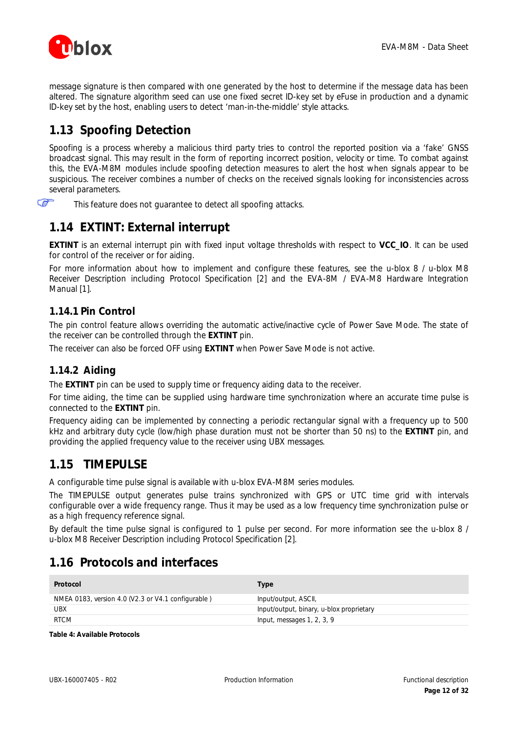

message signature is then compared with one generated by the host to determine if the message data has been altered. The signature algorithm seed can use one fixed secret ID-key set by eFuse in production and a dynamic ID-key set by the host, enabling users to detect 'man-in-the-middle' style attacks.

## <span id="page-11-0"></span>**1.13 Spoofing Detection**

Spoofing is a process whereby a malicious third party tries to control the reported position via a 'fake' GNSS broadcast signal. This may result in the form of reporting incorrect position, velocity or time. To combat against this, the EVA-M8M modules include spoofing detection measures to alert the host when signals appear to be suspicious. The receiver combines a number of checks on the received signals looking for inconsistencies across several parameters.

Œ This feature does not guarantee to detect all spoofing attacks.

## <span id="page-11-1"></span>**1.14 EXTINT: External interrupt**

**EXTINT** is an external interrupt pin with fixed input voltage thresholds with respect to **VCC\_IO**. It can be used for control of the receiver or for aiding.

For more information about how to implement and configure these features, see the *u-blox 8 / u-blox M8 Receiver Description including Protocol Specification* [2] and the *EVA-8M / EVA-M8 Hardware Integration Manual* [1].

### <span id="page-11-2"></span>**1.14.1 Pin Control**

The pin control feature allows overriding the automatic active/inactive cycle of Power Save Mode. The state of the receiver can be controlled through the **EXTINT** pin.

The receiver can also be forced OFF using **EXTINT** when Power Save Mode is not active.

### <span id="page-11-3"></span>**1.14.2 Aiding**

The **EXTINT** pin can be used to supply time or frequency aiding data to the receiver.

For time aiding, the time can be supplied using hardware time synchronization where an accurate time pulse is connected to the **EXTINT** pin.

Frequency aiding can be implemented by connecting a periodic rectangular signal with a frequency up to 500 kHz and arbitrary duty cycle (low/high phase duration must not be shorter than 50 ns) to the **EXTINT** pin, and providing the applied frequency value to the receiver using UBX messages.

## <span id="page-11-6"></span><span id="page-11-4"></span>**1.15 TIMEPULSE**

A configurable time pulse signal is available with u-blox EVA-M8M series modules.

The TIMEPULSE output generates pulse trains synchronized with GPS or UTC time grid with intervals configurable over a wide frequency range. Thus it may be used as a low frequency time synchronization pulse or as a high frequency reference signal.

By default the time pulse signal is configured to 1 pulse per second. For more information see the *u-blox 8 / u-blox M8 Receiver Description including Protocol Specification* [2].

## <span id="page-11-5"></span>**1.16 Protocols and interfaces**

| Protocol                                           | Type                                     |
|----------------------------------------------------|------------------------------------------|
| NMEA 0183, version 4.0 (V2.3 or V4.1 configurable) | Input/output, ASCII,                     |
| UBX                                                | Input/output, binary, u-blox proprietary |
| <b>RTCM</b>                                        | Input, messages $1, 2, 3, 9$             |

**Table 4: Available Protocols**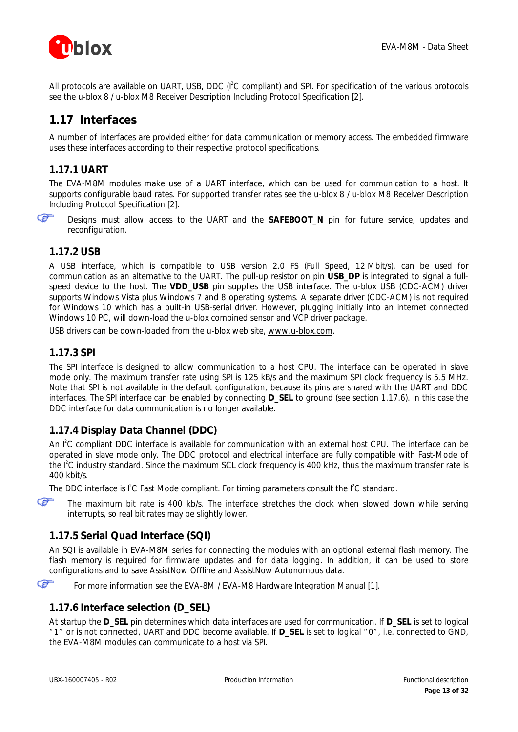

All protocols are available on UART, USB, DDC (I<sup>2</sup>C compliant) and SPI. For specification of the various protocols see the *u-blox 8 / u-blox M8 Receiver Description Including Protocol Specification* [\[2\].](#page-30-4)

## <span id="page-12-0"></span>**1.17 Interfaces**

A number of interfaces are provided either for data communication or memory access. The embedded firmware uses these interfaces according to their respective protocol specifications.

### <span id="page-12-1"></span>**1.17.1 UART**

The EVA-M8M modules make use of a UART interface, which can be used for communication to a host. It supports configurable baud rates. For supported transfer rates see the *u-blox 8 / u-blox M8 Receiver Description Including Protocol Specification* [\[2\].](#page-30-4)



Designs must allow access to the UART and the **SAFEBOOT\_N** pin for future service, updates and reconfiguration.

### <span id="page-12-2"></span>**1.17.2 USB**

A USB interface, which is compatible to USB version 2.0 FS (Full Speed, 12 Mbit/s), can be used for communication as an alternative to the UART. The pull-up resistor on pin **USB\_DP** is integrated to signal a fullspeed device to the host. The **VDD\_USB** pin supplies the USB interface. The u-blox USB (CDC-ACM) driver supports Windows Vista plus Windows 7 and 8 operating systems. A separate driver (CDC-ACM) is not required for Windows 10 which has a built-in USB-serial driver. However, plugging initially into an internet connected Windows 10 PC, will down-load the u-blox combined sensor and VCP driver package.

USB drivers can be down-loaded from the u-blox web site, [www.u-blox.com.](http://www.u-blox.com/)

### <span id="page-12-3"></span>**1.17.3 SPI**

The SPI interface is designed to allow communication to a host CPU. The interface can be operated in slave mode only. The maximum transfer rate using SPI is 125 kB/s and the maximum SPI clock frequency is 5.5 MHz. Note that SPI is not available in the default configuration, because its pins are shared with the UART and DDC interfaces. The SPI interface can be enabled by connecting **D\_SEL** to ground (see section [1.17.6\).](#page-12-6) In this case the DDC interface for data communication is no longer available.

### <span id="page-12-4"></span>**1.17.4 Display Data Channel (DDC)**

An I<sup>2</sup>C compliant DDC interface is available for communication with an external host CPU. The interface can be operated in slave mode only. The DDC protocol and electrical interface are fully compatible with Fast-Mode of the I<sup>2</sup>C industry standard. Since the maximum SCL clock frequency is 400 kHz, thus the maximum transfer rate is 400 kbit/s.

The DDC interface is  ${}^{12}C$  Fast Mode compliant. For timing parameters consult the  ${}^{12}C$  standard.

Œ The maximum bit rate is 400 kb/s. The interface stretches the clock when slowed down while serving interrupts, so real bit rates may be slightly lower.

## <span id="page-12-5"></span>**1.17.5 Serial Quad Interface (SQI)**

An SQI is available in EVA-M8M series for connecting the modules with an optional external flash memory. The flash memory is required for firmware updates and for data logging. In addition, it can be used to store configurations and to save AssistNow Offline and AssistNow Autonomous data.



For more information see the *EVA-8M / EVA-M8 Hardware Integration Manual* [\[1\].](#page-30-2)

### <span id="page-12-6"></span>**1.17.6 Interface selection (D\_SEL)**

At startup the **D\_SEL** pin determines which data interfaces are used for communication. If **D\_SEL** is set to logical "1" or is not connected, UART and DDC become available. If **D\_SEL** is set to logical "0", i.e. connected to GND, the EVA-M8M modules can communicate to a host via SPI.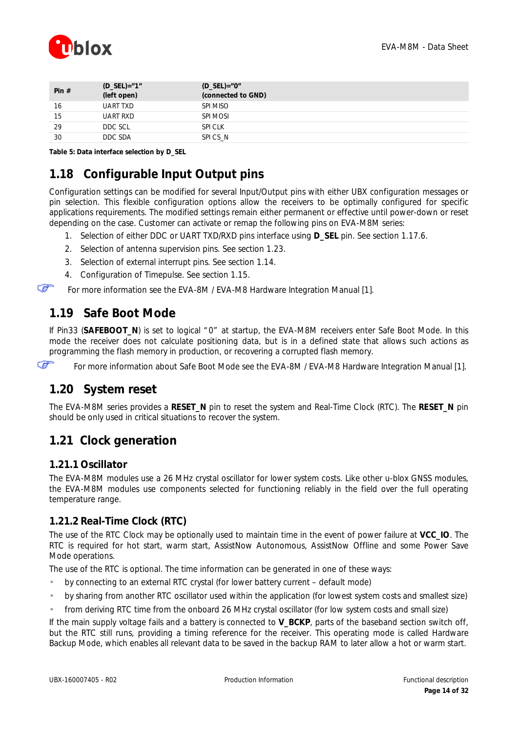

| Pin $#$ | $(D\_SEL) = "1"$<br>(left open) | $(D_{SEL}) = "0"$<br>(connected to GND) |
|---------|---------------------------------|-----------------------------------------|
| 16      | UART TXD                        | SPI MISO                                |
| 15      | UART RXD                        | SPI MOSI                                |
| 29      | DDC SCL                         | <b>SPI CLK</b>                          |
| 30      | DDC SDA                         | SPICS N                                 |
|         |                                 |                                         |

**Table 5: Data interface selection by D\_SEL**

## <span id="page-13-0"></span>**1.18 Configurable Input Output pins**

Configuration settings can be modified for several Input/Output pins with either UBX configuration messages or pin selection. This flexible configuration options allow the receivers to be optimally configured for specific applications requirements. The modified settings remain either permanent or effective until power-down or reset depending on the case. Customer can activate or remap the following pins on EVA-M8M series:

- 1. Selection of either DDC or UART TXD/RXD pins interface using **D\_SEL** pin. See section *[1.17.6.](#page-12-6)*
- 2. Selection of antenna supervision pins. See section *[1.23](#page-15-0)*.
- 3. Selection of external interrupt pins. See section *[1.14](#page-11-1)*.
- 4. Configuration of Timepulse. See section *[1.15](#page-11-6)*.

<span id="page-13-1"></span>For more information see the *EVA-8M / EVA-M8 Hardware Integration Manual* [\[1\].](#page-30-2)

## <span id="page-13-6"></span>**1.19 Safe Boot Mode**

If Pin33 (**SAFEBOOT\_N**) is set to logical "0" at startup, the EVA-M8M receivers enter Safe Boot Mode. In this mode the receiver does not calculate positioning data, but is in a defined state that allows such actions as programming the flash memory in production, or recovering a corrupted flash memory.

Œ

æ

<span id="page-13-2"></span>For more information about Safe Boot Mode see the *EVA-8M / EVA-M8 Hardware Integration Manual* [\[1\]](#page-30-2)*.*

## **1.20 System reset**

The EVA-M8M series provides a **RESET\_N** pin to reset the system and Real-Time Clock (RTC). The **RESET\_N** pin should be only used in critical situations to recover the system.

## <span id="page-13-3"></span>**1.21 Clock generation**

### <span id="page-13-4"></span>**1.21.1 Oscillator**

The EVA-M8M modules use a 26 MHz crystal oscillator for lower system costs. Like other u-blox GNSS modules, the EVA-M8M modules use components selected for functioning reliably in the field over the full operating temperature range.

### <span id="page-13-5"></span>**1.21.2 Real-Time Clock (RTC)**

The use of the RTC Clock may be optionally used to maintain time in the event of power failure at **VCC\_IO**. The RTC is required for hot start, warm start, AssistNow Autonomous, AssistNow Offline and some Power Save Mode operations.

The use of the RTC is optional. The time information can be generated in one of these ways:

- by connecting to an external RTC crystal (for lower battery current default mode)
- by sharing from another RTC oscillator used within the application (for lowest system costs and smallest size)
- from deriving RTC time from the onboard 26 MHz crystal oscillator (for low system costs and small size)

If the main supply voltage fails and a battery is connected to **V\_BCKP**, parts of the baseband section switch off, but the RTC still runs, providing a timing reference for the receiver. This operating mode is called Hardware Backup Mode, which enables all relevant data to be saved in the backup RAM to later allow a hot or warm start.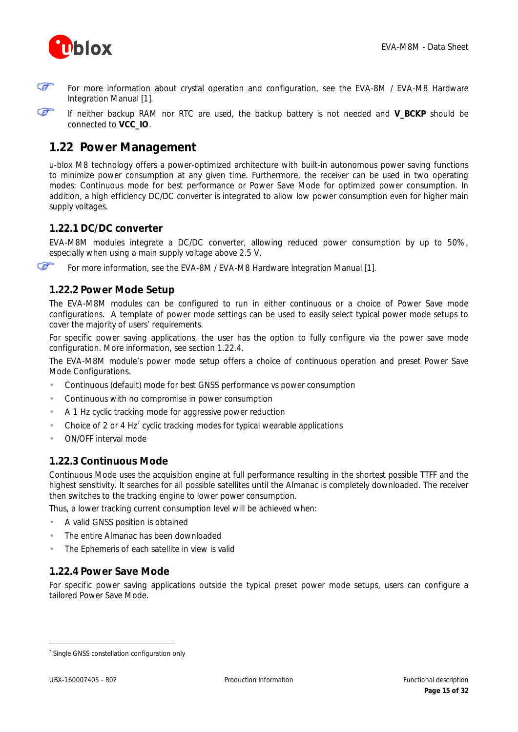

ক্লে

For more information about crystal operation and configuration, see the *EVA-8M / EVA-M8 Hardware Integration Manual* [1].

Œ If neither backup RAM nor RTC are used, the backup battery is not needed and **V\_BCKP** should be connected to **VCC\_IO**.

## <span id="page-14-0"></span>**1.22 Power Management**

u-blox M8 technology offers a power-optimized architecture with built-in autonomous power saving functions to minimize power consumption at any given time. Furthermore, the receiver can be used in two operating modes: Continuous mode for best performance or Power Save Mode for optimized power consumption. In addition, a high efficiency DC/DC converter is integrated to allow low power consumption even for higher main supply voltages.

### <span id="page-14-1"></span>**1.22.1 DC/DC converter**

EVA-M8M modules integrate a DC/DC converter, allowing reduced power consumption by up to 50%, especially when using a main supply voltage above 2.5 V.

Œ For more information, see the *EVA-8M / EVA-M8 Hardware Integration Manual* [1].

### <span id="page-14-2"></span>**1.22.2 Power Mode Setup**

The EVA-M8M modules can be configured to run in either continuous or a choice of Power Save mode configurations. A template of power mode settings can be used to easily select typical power mode setups to cover the majority of users' requirements.

For specific power saving applications, the user has the option to fully configure via the power save mode configuration. More information, see section [1.22.4.](#page-14-4)

The EVA-M8M module's power mode setup offers a choice of continuous operation and preset Power Save Mode Configurations.

- Continuous (default) mode for best GNSS performance vs power consumption
- Continuous with no compromise in power consumption
- A 1 Hz cyclic tracking mode for aggressive power reduction
- Choice of 2 or 4 Hz<sup>7</sup> cyclic tracking modes for typical wearable applications
- <span id="page-14-3"></span>ON/OFF interval mode

### **1.22.3 Continuous Mode**

Continuous Mode uses the acquisition engine at full performance resulting in the shortest possible TTFF and the highest sensitivity. It searches for all possible satellites until the Almanac is completely downloaded. The receiver then switches to the tracking engine to lower power consumption.

Thus, a lower tracking current consumption level will be achieved when:

- A valid GNSS position is obtained
- The entire Almanac has been downloaded
- <span id="page-14-4"></span>The Ephemeris of each satellite in view is valid

### **1.22.4 Power Save Mode**

For specific power saving applications outside the typical preset power mode setups, users can configure a tailored Power Save Mode.

 $\overline{a}$ 

<sup>&</sup>lt;sup>7</sup> Single GNSS constellation configuration only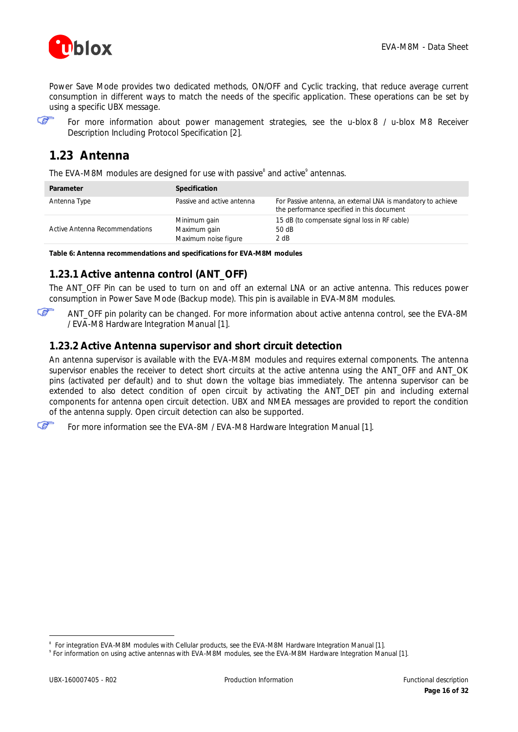

Power Save Mode provides two dedicated methods, ON/OFF and Cyclic tracking, that reduce average current consumption in different ways to match the needs of the specific application. These operations can be set by using a specific UBX message.



For more information about power management strategies, see the *u-blox 8 / u-blox M8 Receiver Description Including Protocol Specification* [\[2\].](#page-30-4)

## <span id="page-15-0"></span>**1.23 Antenna**

The EVA-M8M modules are designed for use with passive<sup>8</sup> and active<sup>9</sup> antennas.

| Parameter                      | Specification                                        |                                                                                                            |
|--------------------------------|------------------------------------------------------|------------------------------------------------------------------------------------------------------------|
| Antenna Type                   | Passive and active antenna                           | For Passive antenna, an external LNA is mandatory to achieve<br>the performance specified in this document |
| Active Antenna Recommendations | Minimum gain<br>Maximum gain<br>Maximum noise figure | 15 dB (to compensate signal loss in RF cable)<br>50 dB<br>2 dB                                             |

**Table 6: Antenna recommendations and specifications for EVA-M8M modules**

### <span id="page-15-1"></span>**1.23.1 Active antenna control (ANT\_OFF)**

The ANT\_OFF Pin can be used to turn on and off an external LNA or an active antenna. This reduces power consumption in Power Save Mode (Backup mode). This pin is available in EVA-M8M modules.

G ANT\_OFF pin polarity can be changed. For more information about active antenna control, see the *EVA-8M / EVA-M8 Hardware Integration Manual* [1].

### <span id="page-15-2"></span>**1.23.2 Active Antenna supervisor and short circuit detection**

An antenna supervisor is available with the EVA-M8M modules and requires external components. The antenna supervisor enables the receiver to detect short circuits at the active antenna using the ANT\_OFF and ANT\_OK pins (activated per default) and to shut down the voltage bias immediately. The antenna supervisor can be extended to also detect condition of open circuit by activating the ANT\_DET pin and including external components for antenna open circuit detection. UBX and NMEA messages are provided to report the condition of the antenna supply. Open circuit detection can also be supported.

Œ For more information see the *EVA-8M / EVA-M8 Hardware Integration Manual* [1].

 $\overline{a}$ 

<sup>8</sup> For integration EVA-M8M modules with Cellular products, see the *EVA-M8M Hardware Integration Manual* [\[1\].](#page-30-2)

<sup>9</sup> For information on using active antennas with EVA-M8M modules, see the *EVA-M8M Hardware Integration Manual* [1].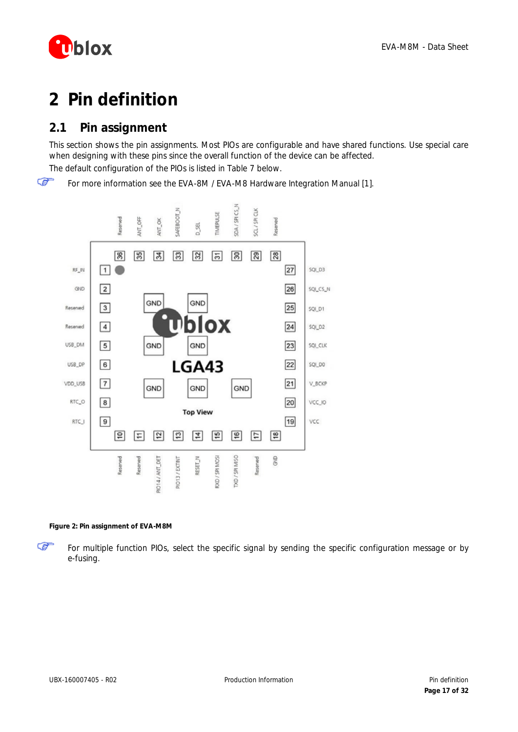

# <span id="page-16-0"></span>**2 Pin definition**

## <span id="page-16-1"></span>**2.1 Pin assignment**

This section shows the pin assignments. Most PIOs are configurable and have shared functions. Use special care when designing with these pins since the overall function of the device can be affected.

The default configuration of the PIOs is listed in [Table 7](#page-17-0) below.

☞ For more information see the *EVA-8M / EVA-M8 Hardware Integration Manual* [1].



#### **Figure 2: Pin assignment of EVA-M8M**

For multiple function PIOs, select the specific signal by sending the specific configuration message or by e-fusing.

☞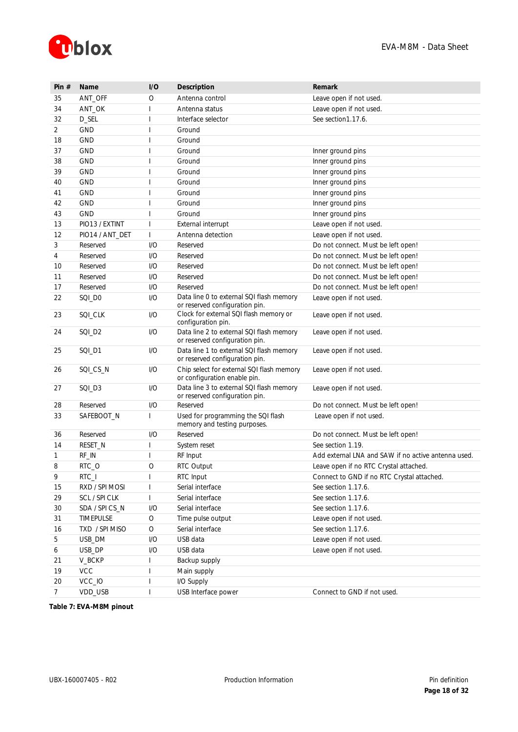

| Pin $#$        | <b>Name</b>     | I/O                      | Description                                                                | Remark                                              |
|----------------|-----------------|--------------------------|----------------------------------------------------------------------------|-----------------------------------------------------|
| 35             | ANT_OFF         | O                        | Antenna control                                                            | Leave open if not used.                             |
| 34             | ANT_OK          | $\overline{1}$           | Antenna status                                                             | Leave open if not used.                             |
| 32             | D_SEL           | $\overline{1}$           | Interface selector                                                         | See section 1, 17, 6.                               |
| $\overline{2}$ | <b>GND</b>      | $\overline{\phantom{a}}$ | Ground                                                                     |                                                     |
| 18             | <b>GND</b>      | $\overline{\phantom{a}}$ | Ground                                                                     |                                                     |
| 37             | <b>GND</b>      | $\overline{\phantom{a}}$ | Ground                                                                     | Inner ground pins                                   |
| 38             | <b>GND</b>      |                          | Ground                                                                     | Inner ground pins                                   |
| 39             | <b>GND</b>      | $\overline{\phantom{a}}$ | Ground                                                                     | Inner ground pins                                   |
| 40             | <b>GND</b>      |                          | Ground                                                                     | Inner ground pins                                   |
| 41             | <b>GND</b>      |                          | Ground                                                                     | Inner ground pins                                   |
| 42             | <b>GND</b>      |                          | Ground                                                                     | Inner ground pins                                   |
| 43             | <b>GND</b>      |                          | Ground                                                                     | Inner ground pins                                   |
| 13             | PIO13 / EXTINT  | $\overline{\phantom{a}}$ | External interrupt                                                         | Leave open if not used.                             |
| 12             | PIO14 / ANT_DET | $\mathsf{I}$             | Antenna detection                                                          | Leave open if not used.                             |
| 3              | Reserved        | 1/O                      | Reserved                                                                   | Do not connect. Must be left open!                  |
| 4              | Reserved        | 1/O                      | Reserved                                                                   | Do not connect. Must be left open!                  |
| 10             | Reserved        | 1/O                      | Reserved                                                                   | Do not connect. Must be left open!                  |
| 11             | Reserved        | 1/O                      | Reserved                                                                   | Do not connect. Must be left open!                  |
| 17             | Reserved        | 1/O                      | Reserved                                                                   | Do not connect. Must be left open!                  |
| 22             | SQI_DO          | 1/O                      | Data line 0 to external SQI flash memory<br>or reserved configuration pin. | Leave open if not used.                             |
| 23             | SQI_CLK         | I/O                      | Clock for external SQI flash memory or<br>configuration pin.               | Leave open if not used.                             |
| 24             | SQI_D2          | I/O                      | Data line 2 to external SQI flash memory<br>or reserved configuration pin. | Leave open if not used.                             |
| 25             | SQI_D1          | 1/O                      | Data line 1 to external SQI flash memory<br>or reserved configuration pin. | Leave open if not used.                             |
| 26             | SQI_CS_N        | I/O                      | Chip select for external SQI flash memory<br>or configuration enable pin.  | Leave open if not used.                             |
| 27             | SQI_D3          | I/O                      | Data line 3 to external SQI flash memory<br>or reserved configuration pin. | Leave open if not used.                             |
| 28             | Reserved        | 1/O                      | Reserved                                                                   | Do not connect. Must be left open!                  |
| 33             | SAFEBOOT_N      | $\mathbf{I}$             | Used for programming the SQI flash<br>memory and testing purposes.         | Leave open if not used.                             |
| 36             | Reserved        | I/O                      | Reserved                                                                   | Do not connect. Must be left open!                  |
| 14             | RESET_N         | $\overline{1}$           | System reset                                                               | See section 1.19.                                   |
| 1              | RF_IN           | $\overline{\phantom{a}}$ | RF Input                                                                   | Add external LNA and SAW if no active antenna used. |
| 8              | RTC O           | $\circ$                  | RTC Output                                                                 | Leave open if no RTC Crystal attached.              |
| 9              | $RTC_l$         | 1                        | RTC Input                                                                  | Connect to GND if no RTC Crystal attached.          |
| 15             | RXD / SPI MOSI  |                          | Serial interface                                                           | See section 1.17.6.                                 |
| 29             | SCL / SPI CLK   | $\mathsf I$              | Serial interface                                                           | See section 1.17.6.                                 |
| 30             | SDA / SPI CS_N  | I/O                      | Serial interface                                                           | See section 1.17.6.                                 |
| 31             | TIMEPULSE       | $\bigcirc$               | Time pulse output                                                          | Leave open if not used.                             |
| 16             | TXD / SPI MISO  | $\bigcirc$               | Serial interface                                                           | See section 1.17.6.                                 |
| 5              | USB_DM          | 1/O                      | USB data                                                                   | Leave open if not used.                             |
| 6              | USB_DP          | 1/O                      | USB data                                                                   | Leave open if not used.                             |
| 21             | V_BCKP          |                          | Backup supply                                                              |                                                     |
| 19             | <b>VCC</b>      |                          | Main supply                                                                |                                                     |
| 20             | VCC_IO          |                          | I/O Supply                                                                 |                                                     |
| $7^{\circ}$    | VDD_USB         | $\overline{1}$           | USB Interface power                                                        | Connect to GND if not used.                         |

<span id="page-17-0"></span>**Table 7: EVA-M8M pinout**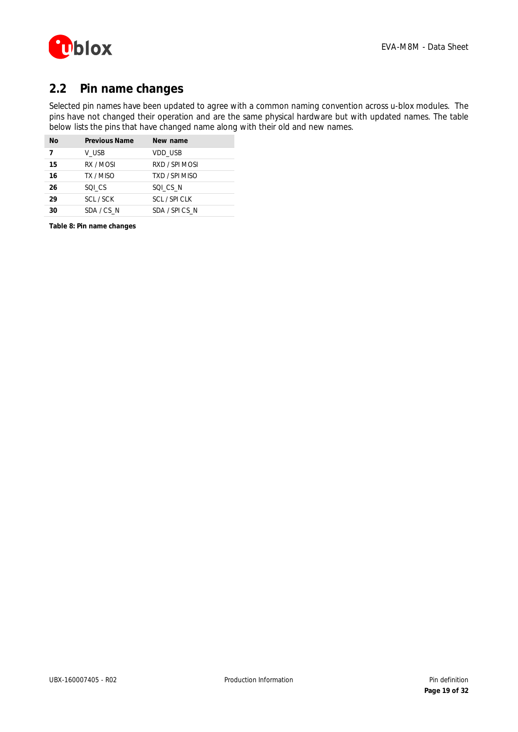

## <span id="page-18-0"></span>**2.2 Pin name changes**

Selected pin names have been updated to agree with a common naming convention across u-blox modules. The pins have not changed their operation and are the same physical hardware but with updated names. The table below lists the pins that have changed name along with their old and new names.

| <b>No</b> | <b>Previous Name</b> | New name       |
|-----------|----------------------|----------------|
| 7         | V USB                | VDD USB        |
| 15        | RX / MOSI            | RXD / SPI MOSI |
| 16        | TX / MISO            | TXD / SPI MISO |
| 26        | SQI CS               | SQI CS N       |
| 29        | SCL / SCK            | SCL / SPI CLK  |
| 30        | SDA/CSN              | SDA / SPICS N  |

**Table 8: Pin name changes**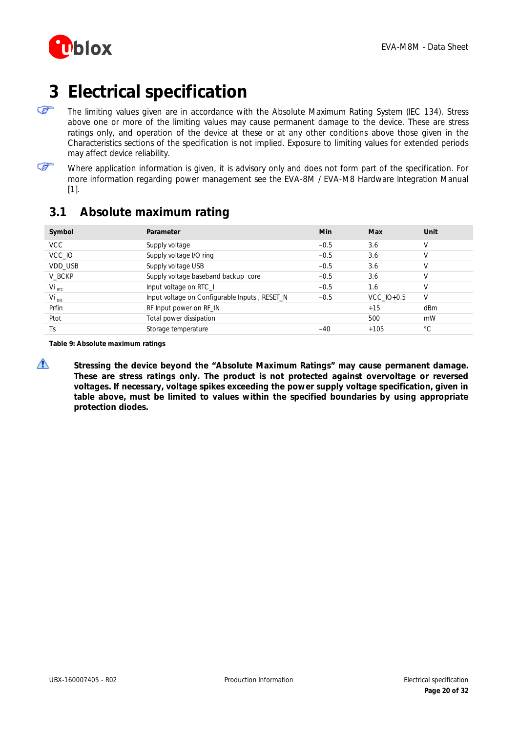

# <span id="page-19-0"></span>**3 Electrical specification**

- F The limiting values given are in accordance with the Absolute Maximum Rating System (IEC 134). Stress above one or more of the limiting values may cause permanent damage to the device. These are stress ratings only, and operation of the device at these or at any other conditions above those given in the Characteristics sections of the specification is not implied. Exposure to limiting values for extended periods may affect device reliability.
- ☞
- Where application information is given, it is advisory only and does not form part of the specification. For more information regarding power management see the *EVA-8M / EVA-M8 Hardware Integration Manual*  [\[1\]](#page-30-2)*.*

## <span id="page-19-1"></span>**3.1 Absolute maximum rating**

| Symbol           | Parameter                                     | Min    | Max          | Unit         |
|------------------|-----------------------------------------------|--------|--------------|--------------|
| <b>VCC</b>       | Supply voltage                                | $-0.5$ | 3.6          | V            |
| VCC IO           | Supply voltage I/O ring                       | $-0.5$ | 3.6          | V            |
| VDD USB          | Supply voltage USB                            | $-0.5$ | 3.6          | V            |
| V BCKP           | Supply voltage baseband backup core           | $-0.5$ | 3.6          | V            |
| $Vi_{\rm {RTC}}$ | Input voltage on RTC_I                        | $-0.5$ | 1.6          | V            |
| $Vi_{DS}$        | Input voltage on Configurable Inputs, RESET_N | $-0.5$ | VCC $IO+0.5$ | V            |
| Prfin            | RF Input power on RF_IN                       |        | $+15$        | dBm          |
| Ptot             | Total power dissipation                       |        | 500          | mW           |
| Ts               | Storage temperature                           | $-40$  | $+105$       | $^{\circ}$ C |

**Table 9: Absolute maximum ratings**

⚠

**Stressing the device beyond the "Absolute Maximum Ratings" may cause permanent damage. These are stress ratings only. The product is not protected against overvoltage or reversed voltages. If necessary, voltage spikes exceeding the power supply voltage specification, given in table above, must be limited to values within the specified boundaries by using appropriate protection diodes.**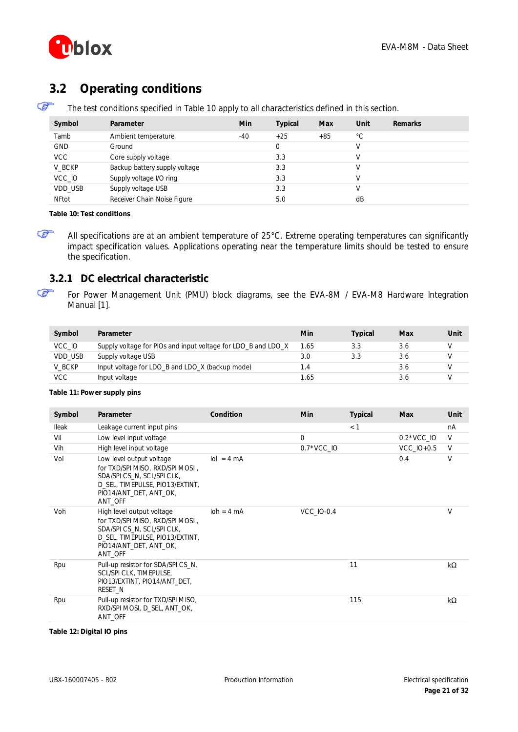

## <span id="page-20-0"></span>**3.2 Operating conditions**

☞ The test conditions specified in [Table 10](#page-20-2) apply to all characteristics defined in this section.

| Symbol       | Parameter                     | Min   | <b>Typical</b> | Max   | Unit         | <b>Remarks</b> |
|--------------|-------------------------------|-------|----------------|-------|--------------|----------------|
| Tamb         | Ambient temperature           | $-40$ | $+25$          | $+85$ | $^{\circ}$ C |                |
| <b>GND</b>   | Ground                        |       |                |       |              |                |
| <b>VCC</b>   | Core supply voltage           |       | 3.3            |       |              |                |
| V BCKP       | Backup battery supply voltage |       | 3.3            |       |              |                |
| VCC IO       | Supply voltage I/O ring       |       | 3.3            |       |              |                |
| VDD USB      | Supply voltage USB            |       | 3.3            |       |              |                |
| <b>NFtot</b> | Receiver Chain Noise Figure   |       | 5.0            |       | dB           |                |

#### <span id="page-20-2"></span>**Table 10: Test conditions**

ক্তে

G

All specifications are at an ambient temperature of 25°C. Extreme operating temperatures can significantly impact specification values. Applications operating near the temperature limits should be tested to ensure the specification.

#### <span id="page-20-1"></span>**3.2.1 DC electrical characteristic**

For Power Management Unit (PMU) block diagrams, see the *EVA-8M / EVA-M8 Hardware Integration Manual* [\[1\].](#page-30-2)

| Symbol     | Parameter                                                     | Min        | Typical | Max | Unit |
|------------|---------------------------------------------------------------|------------|---------|-----|------|
| VCC 10     | Supply voltage for PIOs and input voltage for LDO_B and LDO_X | 1.65       | 3.3     | 3.6 |      |
| VDD USB    | Supply voltage USB                                            | 3.0        | 3.3     | 3.6 |      |
| V BCKP     | Input voltage for LDO_B and LDO_X (backup mode)               | $\cdot$ .4 |         | 3.6 |      |
| <b>VCC</b> | Input voltage                                                 | 1.65.      |         | 3.0 |      |

#### **Table 11: Power supply pins**

| Symbol | Parameter                                                                                                                                                        | Condition                   | <b>Min</b>        | Typical | <b>Max</b>        | Unit   |
|--------|------------------------------------------------------------------------------------------------------------------------------------------------------------------|-----------------------------|-------------------|---------|-------------------|--------|
| lleak  | Leakage current input pins                                                                                                                                       |                             |                   | < 1     |                   | nA     |
| Vil    | Low level input voltage                                                                                                                                          |                             | 0                 |         | $0.2*VCC$ IO      | $\vee$ |
| Vih    | High level input voltage                                                                                                                                         |                             | $0.7*VCC$ IO      |         | <b>VCC IO+0.5</b> | $\vee$ |
| Vol    | Low level output voltage<br>for TXD/SPI MISO, RXD/SPI MOSI,<br>SDA/SPICS N, SCL/SPICLK,<br>D SEL, TIMEPULSE, PIO13/EXTINT,<br>PIO14/ANT DET, ANT OK,<br>ANT_OFF  | $\text{Io} = 4 \text{ mA}$  |                   |         | 0.4               | V      |
| Voh    | High level output voltage<br>for TXD/SPI MISO, RXD/SPI MOSI,<br>SDA/SPICS N, SCL/SPICLK,<br>D SEL, TIMEPULSE, PIO13/EXTINT,<br>PIO14/ANT DET, ANT OK,<br>ANT OFF | $\text{loh} = 4 \text{ mA}$ | <b>VCC IO-0.4</b> |         |                   | $\vee$ |
| Rpu    | Pull-up resistor for SDA/SPI CS_N,<br>SCL/SPI CLK, TIMEPULSE,<br>PIO13/EXTINT, PIO14/ANT DET,<br>RESET_N                                                         |                             |                   | 11      |                   | kW     |
| Rpu    | Pull-up resistor for TXD/SPI MISO,<br>RXD/SPI MOSI, D SEL, ANT OK,<br>ANT OFF                                                                                    |                             |                   | 115     |                   | kW     |

**Table 12: Digital IO pins**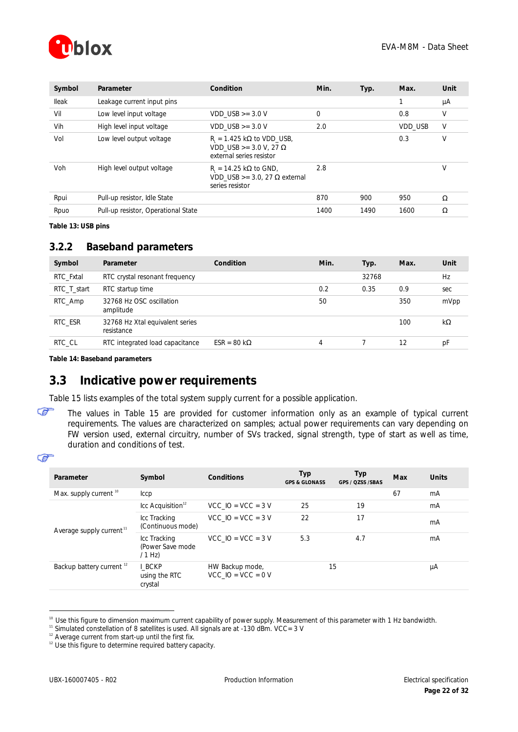

| Symbol | Parameter                           | Condition                                                                              | Min.         | Typ. | Max.           | Unit |
|--------|-------------------------------------|----------------------------------------------------------------------------------------|--------------|------|----------------|------|
| lleak  | Leakage current input pins          |                                                                                        |              |      | ٠              | μA   |
| Vil    | Low level input voltage             | $VDD$ USB $>=$ 3.0 V                                                                   | $\mathbf{0}$ |      | 0.8            | ٧    |
| Vih    | High level input voltage            | $VDD$ USB $>=$ 3.0 V                                                                   | 2.0          |      | <b>VDD USB</b> | V    |
| Vol    | Low level output voltage            | $R_{i} = 1.425$ kW to VDD USB,<br>VDD USB $>= 3.0 V, 27 W$<br>external series resistor |              |      | 0.3            | ٧    |
| Voh    | High level output voltage           | $R = 14.25$ kW to GND,<br>VDD USB $>=$ 3.0. 27 Wexternal<br>series resistor            | 2.8          |      |                | V    |
| Rpui   | Pull-up resistor, Idle State        |                                                                                        | 870          | 900  | 950            | W    |
| Rpuo   | Pull-up resistor, Operational State |                                                                                        | 1400         | 1490 | 1600           | W    |

**Table 13: USB pins**

### <span id="page-21-0"></span>**3.2.2 Baseband parameters**

| Symbol      | Parameter                                     | Condition     | Min. | Typ.  | Max. | Unit |
|-------------|-----------------------------------------------|---------------|------|-------|------|------|
| RTC Fxtal   | RTC crystal resonant frequency                |               |      | 32768 |      | Hz   |
| RTC T start | RTC startup time                              |               | 0.2  | 0.35  | 0.9  | sec  |
| RTC_Amp     | 32768 Hz OSC oscillation<br>amplitude         |               | 50   |       | 350  | mVpp |
| RTC ESR     | 32768 Hz Xtal equivalent series<br>resistance |               |      |       | 100  | kW   |
| RTC CL      | RTC integrated load capacitance               | $ESR = 80$ kW | 4    |       | 12   | рF   |

**Table 14: Baseband parameters**

## <span id="page-21-1"></span>**3.3 Indicative power requirements**

[Table 15](#page-22-1) lists examples of the total system supply current for a possible application.

The values in [Table 15](#page-22-1) are provided for customer information only as an example of typical current requirements. The values are characterized on samples; actual power requirements can vary depending on FW version used, external circuitry, number of SVs tracked, signal strength, type of start as well as time, duration and conditions of test.

#### ☞

☞

 $\overline{a}$ 

| Parameter                            | Symbol                                       | Conditions                                | Typ<br><b>GPS &amp; GLONASS</b> | <b>Typ</b><br>GPS / QZSS /SBAS | Max | <b>Units</b> |
|--------------------------------------|----------------------------------------------|-------------------------------------------|---------------------------------|--------------------------------|-----|--------------|
| Max. supply current <sup>10</sup>    | Iccp                                         |                                           |                                 |                                | 67  | mA           |
|                                      | $\text{Lcc}$ Acquisition <sup>12</sup>       | $VCC$ IO = VCC = 3 V                      | 25                              | 19                             |     | mA           |
| Average supply current <sup>11</sup> | Icc Tracking<br>(Continuous mode)            | $VCC$ IO = VCC = 3 V                      | 22                              | 17                             |     | mA           |
|                                      | Icc Tracking<br>(Power Save mode<br>$/1$ Hz) | $VCC$ IO = VCC = 3 V                      | 5.3                             | 4.7                            |     | mA           |
| Backup battery current <sup>12</sup> | <b>I BCKP</b><br>using the RTC<br>crystal    | HW Backup mode,<br>$VCC$ IO = $VCC$ = 0 V |                                 | 15                             |     | μA           |

<sup>&</sup>lt;sup>10</sup> Use this figure to dimension maximum current capability of power supply. Measurement of this parameter with 1 Hz bandwidth.

 $11$  Simulated constellation of 8 satellites is used. All signals are at -130 dBm. VCC= 3 V

 $12$  Average current from start-up until the first fix.

<sup>&</sup>lt;sup>12</sup> Use this figure to determine required battery capacity.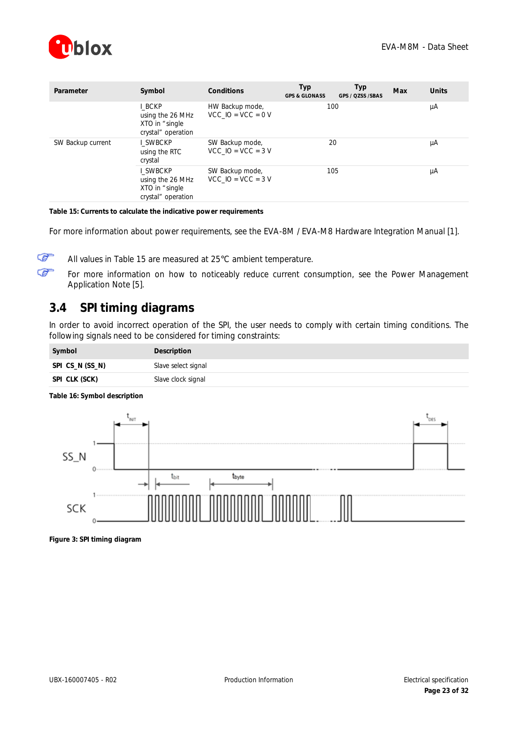

| Parameter         | Symbol                                                             | Conditions                                | Typ<br><b>GPS &amp; GLONASS</b> | <b>Typ</b><br>GPS / QZSS /SBAS | Max | <b>Units</b> |
|-------------------|--------------------------------------------------------------------|-------------------------------------------|---------------------------------|--------------------------------|-----|--------------|
|                   | I BCKP<br>using the 26 MHz<br>XTO in "single<br>crystal" operation | HW Backup mode,<br>$VCC$ IO = VCC = 0 V   | 100                             |                                |     | μA           |
| SW Backup current | SWBCKP<br>using the RTC<br>crystal                                 | SW Backup mode,<br>$VCC$ IO = VCC = 3 V   | 20                              |                                |     | μA           |
|                   | SWBCKP<br>using the 26 MHz<br>XTO in "single<br>crystal" operation | SW Backup mode,<br>$VCC$ IO = $VCC$ = 3 V | 105                             |                                |     | μA           |

<span id="page-22-1"></span>**Table 15: Currents to calculate the indicative power requirements**

For more information about power requirements, see the *EVA-8M / EVA-M8 Hardware Integration Manual* [\[1\].](#page-30-2)

☞ Œ

All values in [Table 15](#page-22-1) are measured at 25°C ambient temperature.

For more information on how to noticeably reduce current consumption, see the *Power Management Application Note* [\[5\].](#page-30-5)

## <span id="page-22-0"></span>**3.4 SPI timing diagrams**

In order to avoid incorrect operation of the SPI, the user needs to comply with certain timing conditions. The following signals need to be considered for timing constraints:

| Symbol          | Description         |
|-----------------|---------------------|
| SPI CS_N (SS_N) | Slave select signal |
| SPI CLK (SCK)   | Slave clock signal  |



**Table 16: Symbol description**

**Figure 3: SPI timing diagram**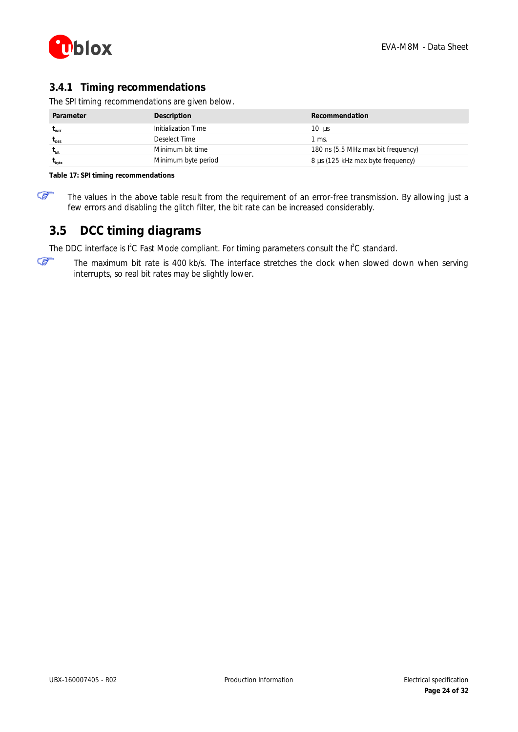

### <span id="page-23-0"></span>**3.4.1 Timing recommendations**

The SPI timing recommendations are given below.

| Parameter        | Description         | <b>Recommendation</b>              |
|------------------|---------------------|------------------------------------|
| <b>LINIT</b>     | Initialization Time | $10 \text{ ms}$                    |
| $L_{DES}$        | Deselect Time       | l ms.                              |
| L <sub>bit</sub> | Minimum bit time    | 180 ns (5.5 MHz max bit frequency) |
| byte             | Minimum byte period | 8 ms (125 kHz max byte frequency)  |

**Table 17: SPI timing recommendations**

☞

The values in the above table result from the requirement of an error-free transmission. By allowing just a few errors and disabling the glitch filter, the bit rate can be increased considerably.

## <span id="page-23-1"></span>**3.5 DCC timing diagrams**

The DDC interface is  $l^2C$  Fast Mode compliant. For timing parameters consult the  $l^2C$  standard.

☞ The maximum bit rate is 400 kb/s. The interface stretches the clock when slowed down when serving interrupts, so real bit rates may be slightly lower.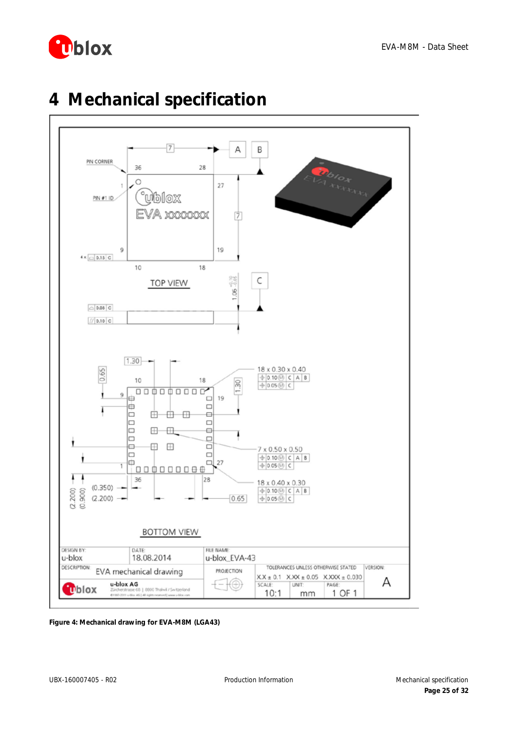



# <span id="page-24-0"></span>**4 Mechanical specification**

**Figure 4: Mechanical drawing for EVA-M8M (LGA43)**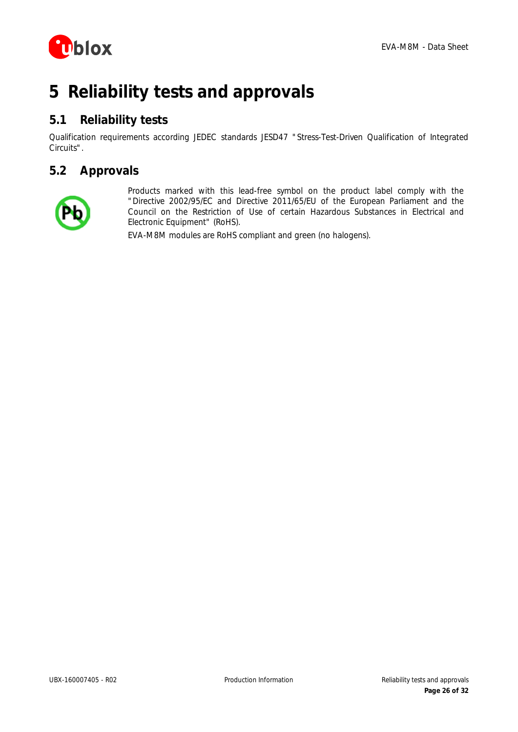

# <span id="page-25-0"></span>**5 Reliability tests and approvals**

## <span id="page-25-1"></span>**5.1 Reliability tests**

Qualification requirements according JEDEC standards JESD47 "*Stress-Test-Driven Qualification of Integrated Circuits*".

## <span id="page-25-2"></span>**5.2 Approvals**



Products marked with this lead-free symbol on the product label comply with the "Directive 2002/95/EC and Directive 2011/65/EU of the European Parliament and the Council on the Restriction of Use of certain Hazardous Substances in Electrical and Electronic Equipment" (RoHS).

EVA-M8M modules are RoHS compliant and green (no halogens).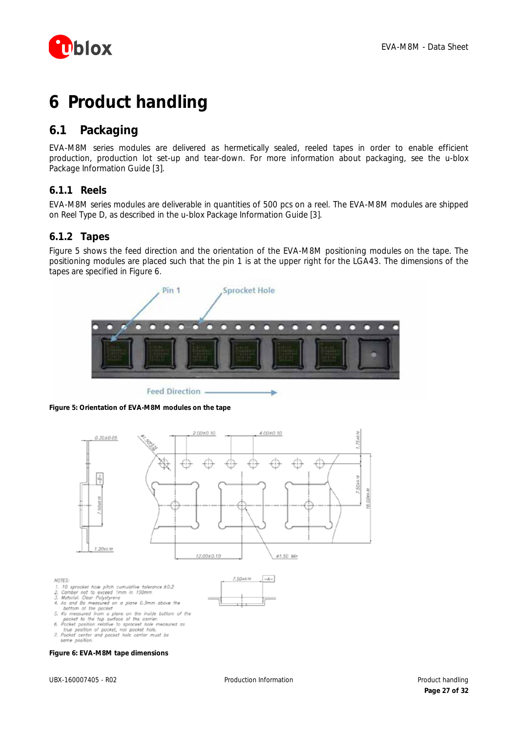

# <span id="page-26-0"></span>**6 Product handling**

## <span id="page-26-1"></span>**6.1 Packaging**

EVA-M8M series modules are delivered as hermetically sealed, reeled tapes in order to enable efficient production, production lot set-up and tear-down. For more information about packaging, see the *u-blox Package Information Guide* [\[3\].](#page-30-6)

### <span id="page-26-2"></span>**6.1.1 Reels**

EVA-M8M series modules are deliverable in quantities of 500 pcs on a reel. The EVA-M8M modules are shipped on Reel Type D, as described in the *u-blox Package Information Guide* [\[3\].](#page-30-6)

### <span id="page-26-3"></span>**6.1.2 Tapes**

[Figure 5](#page-26-4) shows the feed direction and the orientation of the EVA-M8M positioning modules on the tape. The positioning modules are placed such that the pin 1 is at the upper right for the LGA43. The dimensions of the tapes are specified in [Figure 6.](#page-26-5)



**Feed Direction** 

<span id="page-26-4"></span>



<span id="page-26-5"></span>**Figure 6: EVA-M8M tape dimensions**

#### same position.

1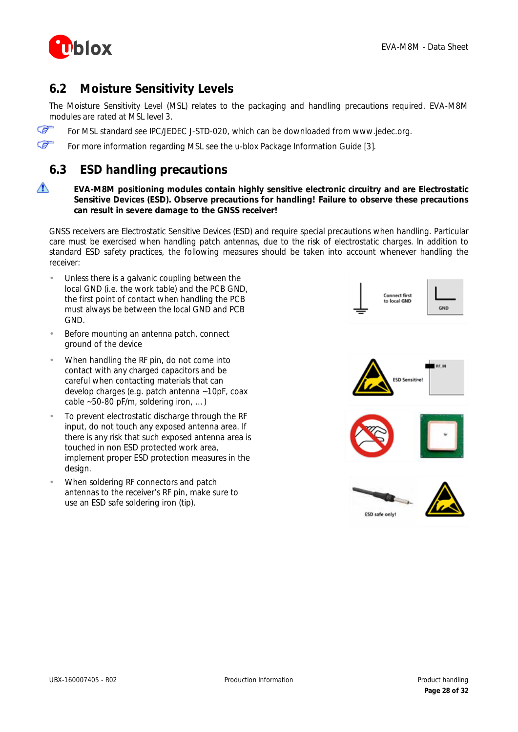

## <span id="page-27-0"></span>**6.2 Moisture Sensitivity Levels**

The Moisture Sensitivity Level (MSL) relates to the packaging and handling precautions required. EVA-M8M modules are rated at MSL level 3.

Œ For MSL standard see IPC/JEDEC J-STD-020, which can be downloaded from [www.jedec.org.](http://www.jedec.org/)

Œ For more information regarding MSL see the *u-blox Package Information Guide* [\[3\].](#page-30-6)

## <span id="page-27-1"></span>**6.3 ESD handling precautions**

#### ∧ **EVA-M8M positioning modules contain highly sensitive electronic circuitry and are Electrostatic Sensitive Devices (ESD). Observe precautions for handling! Failure to observe these precautions can result in severe damage to the GNSS receiver!**

GNSS receivers are Electrostatic Sensitive Devices (ESD) and require special precautions when handling. Particular care must be exercised when handling patch antennas, due to the risk of electrostatic charges. In addition to standard ESD safety practices, the following measures should be taken into account whenever handling the receiver:

- Unless there is a galvanic coupling between the local GND (i.e. the work table) and the PCB GND, the first point of contact when handling the PCB must always be between the local GND and PCB GND.
- Before mounting an antenna patch, connect ground of the device
- When handling the RF pin, do not come into contact with any charged capacitors and be careful when contacting materials that can develop charges (e.g. patch antenna ~10pF, coax cable ~50-80 pF/m, soldering iron, …)
- To prevent electrostatic discharge through the RF input, do not touch any exposed antenna area. If there is any risk that such exposed antenna area is touched in non ESD protected work area, implement proper ESD protection measures in the design.
- When soldering RF connectors and patch antennas to the receiver's RF pin, make sure to use an ESD safe soldering iron (tip).





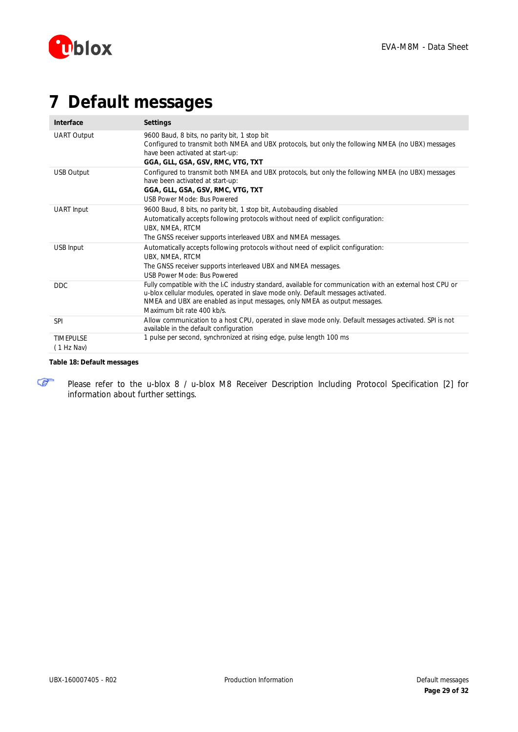

# <span id="page-28-0"></span>**7 Default messages**

| Interface                      | <b>Settings</b>                                                                                                                                                                                                                                                                                                       |
|--------------------------------|-----------------------------------------------------------------------------------------------------------------------------------------------------------------------------------------------------------------------------------------------------------------------------------------------------------------------|
| <b>UART Output</b>             | 9600 Baud, 8 bits, no parity bit, 1 stop bit<br>Configured to transmit both NMEA and UBX protocols, but only the following NMEA (no UBX) messages<br>have been activated at start-up:<br>GGA, GLL, GSA, GSV, RMC, VTG, TXT                                                                                            |
| USB Output                     | Configured to transmit both NMEA and UBX protocols, but only the following NMEA (no UBX) messages<br>have been activated at start-up:<br>GGA, GLL, GSA, GSV, RMC, VTG, TXT<br>USB Power Mode: Bus Powered                                                                                                             |
| UART Input                     | 9600 Baud, 8 bits, no parity bit, 1 stop bit, Autobauding disabled<br>Automatically accepts following protocols without need of explicit configuration:<br>UBX, NMEA, RTCM<br>The GNSS receiver supports interleaved UBX and NMEA messages.                                                                           |
| USB Input                      | Automatically accepts following protocols without need of explicit configuration:<br>UBX, NMEA, RTCM<br>The GNSS receiver supports interleaved UBX and NMEA messages.<br>USB Power Mode: Bus Powered                                                                                                                  |
| <b>DDC</b>                     | Fully compatible with the I <sub>2</sub> C industry standard, available for communication with an external host CPU or<br>u-blox cellular modules, operated in slave mode only. Default messages activated.<br>NMEA and UBX are enabled as input messages, only NMEA as output messages.<br>Maximum bit rate 400 kb/s |
| <b>SPI</b>                     | Allow communication to a host CPU, operated in slave mode only. Default messages activated. SPI is not<br>available in the default configuration                                                                                                                                                                      |
| <b>TIMEPULSE</b><br>(1 Hz Nav) | 1 pulse per second, synchronized at rising edge, pulse length 100 ms                                                                                                                                                                                                                                                  |

#### **Table 18: Default messages**

☞

Please refer to the *u-blox 8 / u-blox M8 Receiver Description Including Protocol Specification* [\[2\]](#page-30-4) for information about further settings.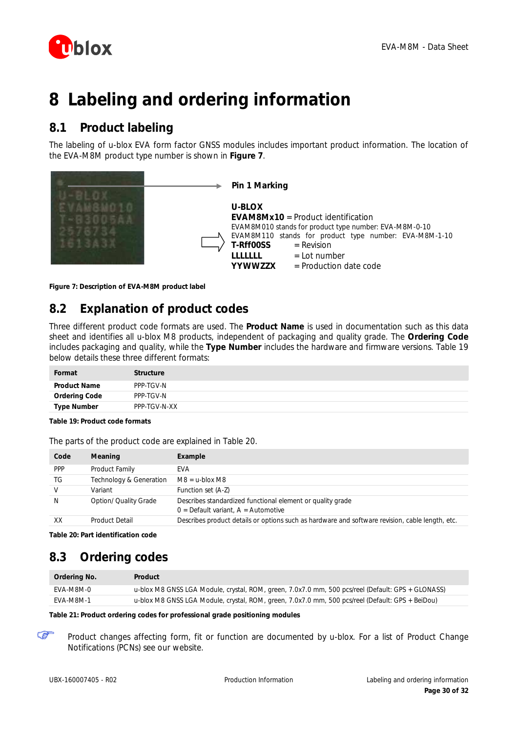

# <span id="page-29-0"></span>**8 Labeling and ordering information**

## <span id="page-29-1"></span>**8.1 Product labeling**

The labeling of u-blox EVA form factor GNSS modules includes important product information. The location of the EVA-M8M product type number is shown in **[Figure 7](#page-29-4)**.

|  | Pin 1 Marking                                                                                                                                                                                                                                                                    |
|--|----------------------------------------------------------------------------------------------------------------------------------------------------------------------------------------------------------------------------------------------------------------------------------|
|  | U-BLOX<br><b>EVAM8Mx10</b> = Product identification<br>EVAM8M010 stands for product type number: EVA-M8M-0-10<br>EVAM8M110 stands for product type number: EVA-M8M-1-10<br>$=$ Revision<br>T-Rff00SS<br>$=$ Lot number<br>,,,,,,,,<br><b>YYWWZZX</b><br>$=$ Production date code |

<span id="page-29-4"></span>**Figure 7: Description of EVA-M8M product label**

## <span id="page-29-2"></span>**8.2 Explanation of product codes**

Three different product code formats are used. The **Product Name** is used in documentation such as this data sheet and identifies all u-blox M8 products, independent of packaging and quality grade. The **Ordering Code** includes packaging and quality, while the **Type Number** includes the hardware and firmware versions. [Table 19](#page-29-5) below details these three different formats:

| Format              | <b>Structure</b> |
|---------------------|------------------|
| <b>Product Name</b> | PPP-TGV-N        |
| Ordering Code       | PPP-TGV-N        |
| <b>Type Number</b>  | PPP-TGV-N-XX     |

#### <span id="page-29-5"></span>**Table 19: Product code formats**

| Code | Meaning                 | Example                                                                                             |
|------|-------------------------|-----------------------------------------------------------------------------------------------------|
| PPP  | Product Family          | <b>FVA</b>                                                                                          |
| TG   | Technology & Generation | $M8 = u$ -blox M8                                                                                   |
| V    | Variant                 | Function set (A-Z)                                                                                  |
| Ν    | Option/ Quality Grade   | Describes standardized functional element or quality grade<br>$0 =$ Default variant, A = Automotive |
| XX   | <b>Product Detail</b>   | Describes product details or options such as hardware and software revision, cable length, etc.     |

The parts of the product code are explained in [Table 20.](#page-29-6)

<span id="page-29-6"></span>**Table 20: Part identification code**

## <span id="page-29-3"></span>**8.3 Ordering codes**

| Ordering No. | Product                                                                                           |
|--------------|---------------------------------------------------------------------------------------------------|
| FVA-M8M-0    | u-blox M8 GNSS LGA Module, crystal, ROM, green, 7.0x7.0 mm, 500 pcs/reel (Default: GPS + GLONASS) |
| FVA-M8M-1    | u-blox M8 GNSS LGA Module, crystal, ROM, green, 7.0x7.0 mm, 500 pcs/reel (Default: GPS + BeiDou)  |

#### **Table 21: Product ordering codes for professional grade positioning modules**

☞ Product changes affecting form, fit or function are documented by u-blox. For a list of Product Change Notifications (PCNs) see our website.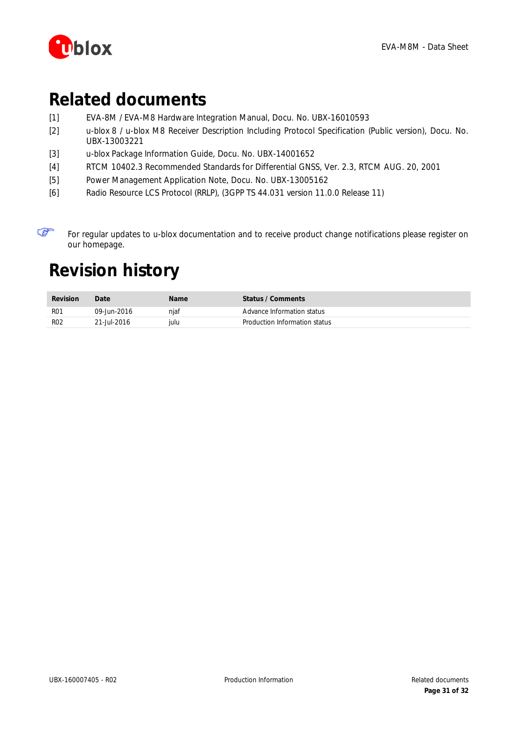

# <span id="page-30-0"></span>**Related documents**

- <span id="page-30-2"></span>[1] EVA-8M / EVA-M8 Hardware Integration Manual, Docu. No. UBX-16010593
- <span id="page-30-4"></span>[2] u-blox 8 / u-blox M8 Receiver Description Including Protocol Specification (Public version), Docu. No. UBX-13003221
- <span id="page-30-6"></span>[3] u-blox Package Information Guide, Docu. No. UBX-14001652
- <span id="page-30-3"></span>[4] RTCM 10402.3 Recommended Standards for Differential GNSS, Ver. 2.3, RTCM AUG. 20, 2001
- <span id="page-30-5"></span>[5] Power Management Application Note, Docu. No. UBX-13005162
- [6] Radio Resource LCS Protocol (RRLP), (3GPP TS 44.031 version 11.0.0 Release 11)

☞ For regular updates to u-blox documentation and to receive product change notifications please register on our homepage.

# <span id="page-30-1"></span>**Revision history**

| <b>Revision</b> | Date        | <b>Name</b> | Status / Comments             |
|-----------------|-------------|-------------|-------------------------------|
| R <sub>01</sub> | 09-Jun-2016 | njaf        | Advance Information status    |
| <b>RO2</b>      | 21-Jul-2016 | iulu        | Production Information status |